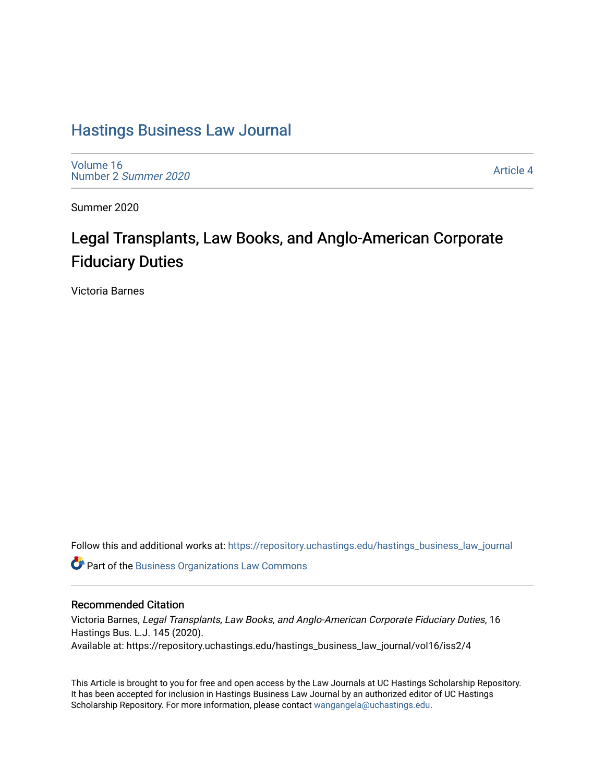# [Hastings Business Law Journal](https://repository.uchastings.edu/hastings_business_law_journal)

[Volume 16](https://repository.uchastings.edu/hastings_business_law_journal/vol16) [Number 2](https://repository.uchastings.edu/hastings_business_law_journal/vol16/iss2) Summer 2020

[Article 4](https://repository.uchastings.edu/hastings_business_law_journal/vol16/iss2/4) 

Summer 2020

# Legal Transplants, Law Books, and Anglo-American Corporate Fiduciary Duties

Victoria Barnes

Follow this and additional works at: [https://repository.uchastings.edu/hastings\\_business\\_law\\_journal](https://repository.uchastings.edu/hastings_business_law_journal?utm_source=repository.uchastings.edu%2Fhastings_business_law_journal%2Fvol16%2Fiss2%2F4&utm_medium=PDF&utm_campaign=PDFCoverPages) 

Part of the [Business Organizations Law Commons](http://network.bepress.com/hgg/discipline/900?utm_source=repository.uchastings.edu%2Fhastings_business_law_journal%2Fvol16%2Fiss2%2F4&utm_medium=PDF&utm_campaign=PDFCoverPages)

### Recommended Citation

Victoria Barnes, Legal Transplants, Law Books, and Anglo-American Corporate Fiduciary Duties, 16 Hastings Bus. L.J. 145 (2020). Available at: https://repository.uchastings.edu/hastings\_business\_law\_journal/vol16/iss2/4

This Article is brought to you for free and open access by the Law Journals at UC Hastings Scholarship Repository. It has been accepted for inclusion in Hastings Business Law Journal by an authorized editor of UC Hastings Scholarship Repository. For more information, please contact [wangangela@uchastings.edu.](mailto:wangangela@uchastings.edu)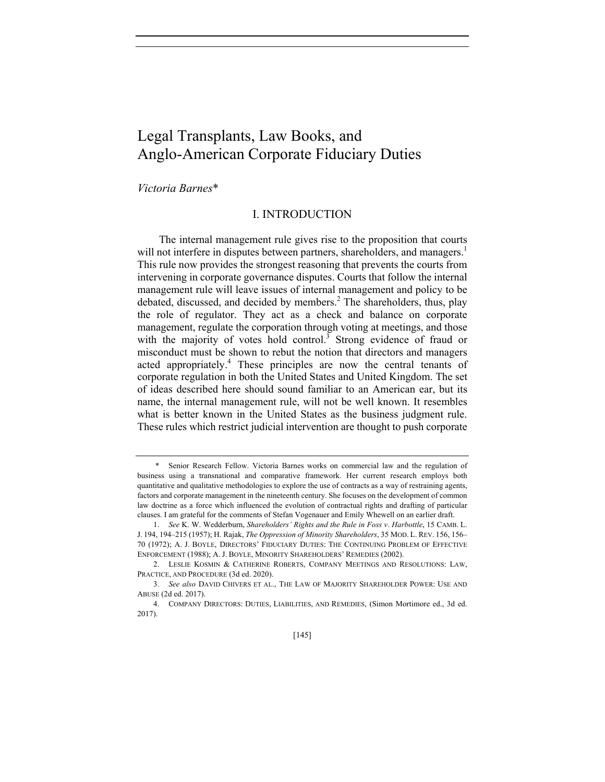## Legal Transplants, Law Books, and Anglo-American Corporate Fiduciary Duties

*Victoria Barnes*\*

#### I. INTRODUCTION

The internal management rule gives rise to the proposition that courts will not interfere in disputes between partners, shareholders, and managers.<sup>1</sup> This rule now provides the strongest reasoning that prevents the courts from intervening in corporate governance disputes. Courts that follow the internal management rule will leave issues of internal management and policy to be debated, discussed, and decided by members.<sup>2</sup> The shareholders, thus, play the role of regulator. They act as a check and balance on corporate management, regulate the corporation through voting at meetings, and those with the majority of votes hold control.<sup>3</sup> Strong evidence of fraud or misconduct must be shown to rebut the notion that directors and managers acted appropriately.<sup>4</sup> These principles are now the central tenants of corporate regulation in both the United States and United Kingdom. The set of ideas described here should sound familiar to an American ear, but its name, the internal management rule, will not be well known. It resembles what is better known in the United States as the business judgment rule. These rules which restrict judicial intervention are thought to push corporate

Senior Research Fellow. Victoria Barnes works on commercial law and the regulation of business using a transnational and comparative framework. Her current research employs both quantitative and qualitative methodologies to explore the use of contracts as a way of restraining agents, factors and corporate management in the nineteenth century. She focuses on the development of common law doctrine as a force which influenced the evolution of contractual rights and drafting of particular clauses. I am grateful for the comments of Stefan Vogenauer and Emily Whewell on an earlier draft.

<sup>1.</sup> *See* K. W. Wedderburn, *Shareholders' Rights and the Rule in Foss v*. *Harbottle*, 15 CAMB. L. J. 194, 194–215 (1957); H. Rajak, *The Oppression of Minority Shareholders*, 35 MOD. L. REV. 156, 156– 70 (1972); A. J. BOYLE, DIRECTORS' FIDUCIARY DUTIES: THE CONTINUING PROBLEM OF EFFECTIVE ENFORCEMENT (1988); A. J. BOYLE, MINORITY SHAREHOLDERS' REMEDIES (2002).

 <sup>2.</sup> LESLIE KOSMIN & CATHERINE ROBERTS, COMPANY MEETINGS AND RESOLUTIONS: LAW, PRACTICE, AND PROCEDURE (3d ed. 2020).

<sup>3.</sup> *See also* DAVID CHIVERS ET AL., THE LAW OF MAJORITY SHAREHOLDER POWER: USE AND ABUSE (2d ed. 2017).

 <sup>4.</sup> COMPANY DIRECTORS: DUTIES, LIABILITIES, AND REMEDIES, (Simon Mortimore ed., 3d ed. 2017).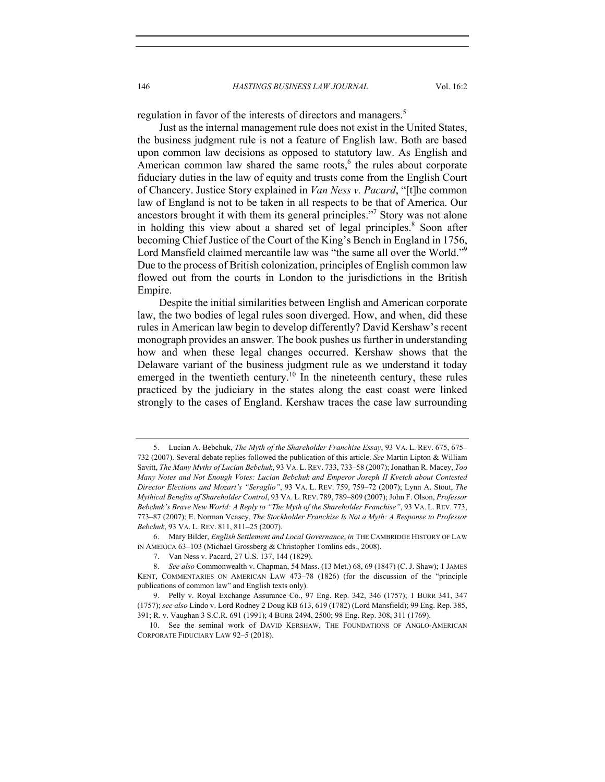146 *HASTINGS BUSINESS LAW JOURNAL* Vol. 16:2

regulation in favor of the interests of directors and managers.<sup>5</sup>

Just as the internal management rule does not exist in the United States, the business judgment rule is not a feature of English law. Both are based upon common law decisions as opposed to statutory law. As English and American common law shared the same roots, $6$  the rules about corporate fiduciary duties in the law of equity and trusts come from the English Court of Chancery. Justice Story explained in *Van Ness v. Pacard*, "[t]he common law of England is not to be taken in all respects to be that of America. Our ancestors brought it with them its general principles."7 Story was not alone in holding this view about a shared set of legal principles.<sup>8</sup> Soon after becoming Chief Justice of the Court of the King's Bench in England in 1756, Lord Mansfield claimed mercantile law was "the same all over the World."<sup>9</sup> Due to the process of British colonization, principles of English common law flowed out from the courts in London to the jurisdictions in the British Empire.

Despite the initial similarities between English and American corporate law, the two bodies of legal rules soon diverged. How, and when, did these rules in American law begin to develop differently? David Kershaw's recent monograph provides an answer. The book pushes us further in understanding how and when these legal changes occurred. Kershaw shows that the Delaware variant of the business judgment rule as we understand it today emerged in the twentieth century.<sup>10</sup> In the nineteenth century, these rules practiced by the judiciary in the states along the east coast were linked strongly to the cases of England. Kershaw traces the case law surrounding

 <sup>5.</sup> Lucian A. Bebchuk, *The Myth of the Shareholder Franchise Essay*, 93 VA. L. REV. 675, 675– 732 (2007). Several debate replies followed the publication of this article. *See* Martin Lipton & William Savitt, *The Many Myths of Lucian Bebchuk*, 93 VA. L. REV. 733, 733–58 (2007); Jonathan R. Macey, *Too Many Notes and Not Enough Votes: Lucian Bebchuk and Emperor Joseph II Kvetch about Contested Director Elections and Mozart's "Seraglio"*, 93 VA. L. REV. 759, 759–72 (2007); Lynn A. Stout, *The Mythical Benefits of Shareholder Control*, 93 VA. L. REV. 789, 789–809 (2007); John F. Olson, *Professor Bebchuk's Brave New World: A Reply to "The Myth of the Shareholder Franchise"*, 93 VA. L. REV. 773, 773–87 (2007); E. Norman Veasey, *The Stockholder Franchise Is Not a Myth: A Response to Professor Bebchuk*, 93 VA. L. REV. 811, 811–25 (2007).

 <sup>6.</sup> Mary Bilder, *English Settlement and Local Governance*, *in* THE CAMBRIDGE HISTORY OF LAW IN AMERICA 63–103 (Michael Grossberg & Christopher Tomlins eds., 2008).

<sup>7.</sup> Van Ness v. Pacard, 27 U.S. 137, 144 (1829).

<sup>8.</sup> *See also* Commonwealth v. Chapman, 54 Mass. (13 Met.) 68, 69 (1847) (C. J. Shaw); 1 JAMES KENT, COMMENTARIES ON AMERICAN LAW 473–78 (1826) (for the discussion of the "principle publications of common law" and English texts only).

<sup>9.</sup> Pelly v. Royal Exchange Assurance Co., 97 Eng. Rep. 342, 346 (1757); 1 BURR 341, 347 (1757); *see also* Lindo v. Lord Rodney 2 Doug KB 613, 619 (1782) (Lord Mansfield); 99 Eng. Rep. 385, 391; R. v. Vaughan 3 S.C.R. 691 (1991); 4 BURR 2494, 2500; 98 Eng. Rep. 308, 311 (1769).

 <sup>10.</sup> See the seminal work of DAVID KERSHAW, THE FOUNDATIONS OF ANGLO-AMERICAN CORPORATE FIDUCIARY LAW 92–5 (2018).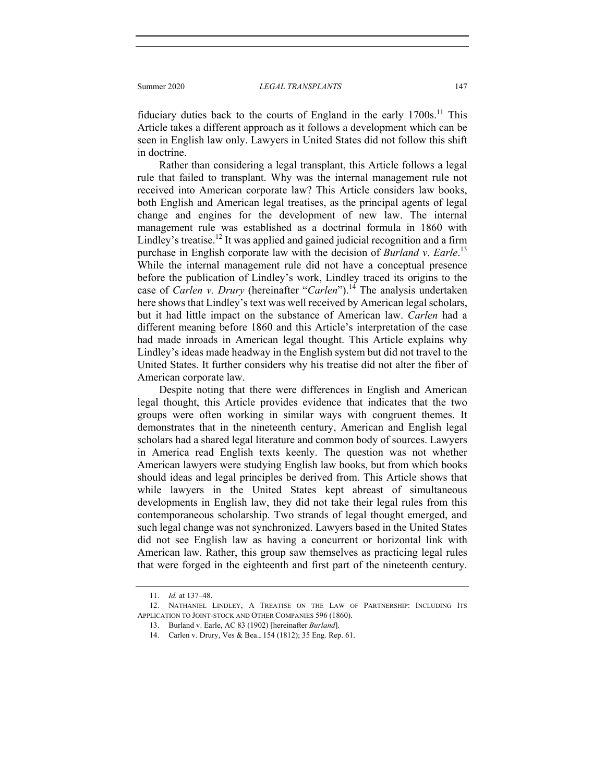fiduciary duties back to the courts of England in the early  $1700s$ .<sup>11</sup> This Article takes a different approach as it follows a development which can be seen in English law only. Lawyers in United States did not follow this shift in doctrine.

Rather than considering a legal transplant, this Article follows a legal rule that failed to transplant. Why was the internal management rule not received into American corporate law? This Article considers law books, both English and American legal treatises, as the principal agents of legal change and engines for the development of new law. The internal management rule was established as a doctrinal formula in 1860 with Lindley's treatise.<sup>12</sup> It was applied and gained judicial recognition and a firm purchase in English corporate law with the decision of *Burland v*. *Earle*. 13 While the internal management rule did not have a conceptual presence before the publication of Lindley's work, Lindley traced its origins to the case of *Carlen v. Drury* (hereinafter "*Carlen*").<sup>14</sup> The analysis undertaken here shows that Lindley's text was well received by American legal scholars, but it had little impact on the substance of American law. *Carlen* had a different meaning before 1860 and this Article's interpretation of the case had made inroads in American legal thought. This Article explains why Lindley's ideas made headway in the English system but did not travel to the United States. It further considers why his treatise did not alter the fiber of American corporate law.

Despite noting that there were differences in English and American legal thought, this Article provides evidence that indicates that the two groups were often working in similar ways with congruent themes. It demonstrates that in the nineteenth century, American and English legal scholars had a shared legal literature and common body of sources. Lawyers in America read English texts keenly. The question was not whether American lawyers were studying English law books, but from which books should ideas and legal principles be derived from. This Article shows that while lawyers in the United States kept abreast of simultaneous developments in English law, they did not take their legal rules from this contemporaneous scholarship. Two strands of legal thought emerged, and such legal change was not synchronized. Lawyers based in the United States did not see English law as having a concurrent or horizontal link with American law. Rather, this group saw themselves as practicing legal rules that were forged in the eighteenth and first part of the nineteenth century.

 <sup>11.</sup> *Id.* at 137–48.

 <sup>12.</sup> NATHANIEL LINDLEY, A TREATISE ON THE LAW OF PARTNERSHIP: INCLUDING ITS APPLICATION TO JOINT-STOCK AND OTHER COMPANIES 596 (1860).

 <sup>13.</sup> Burland v. Earle, AC 83 (1902) [hereinafter *Burland*].

 <sup>14.</sup> Carlen v. Drury, Ves & Bea., 154 (1812); 35 Eng. Rep. 61.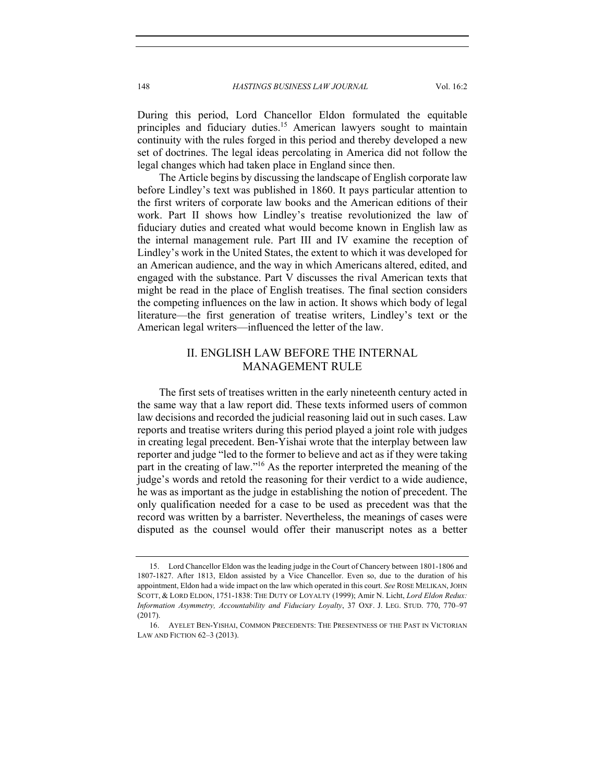148 *HASTINGS BUSINESS LAW JOURNAL* Vol. 16:2

During this period, Lord Chancellor Eldon formulated the equitable principles and fiduciary duties.<sup>15</sup> American lawyers sought to maintain continuity with the rules forged in this period and thereby developed a new set of doctrines. The legal ideas percolating in America did not follow the legal changes which had taken place in England since then.

The Article begins by discussing the landscape of English corporate law before Lindley's text was published in 1860. It pays particular attention to the first writers of corporate law books and the American editions of their work. Part II shows how Lindley's treatise revolutionized the law of fiduciary duties and created what would become known in English law as the internal management rule. Part III and IV examine the reception of Lindley's work in the United States, the extent to which it was developed for an American audience, and the way in which Americans altered, edited, and engaged with the substance. Part V discusses the rival American texts that might be read in the place of English treatises. The final section considers the competing influences on the law in action. It shows which body of legal literature—the first generation of treatise writers, Lindley's text or the American legal writers—influenced the letter of the law.

### II. ENGLISH LAW BEFORE THE INTERNAL MANAGEMENT RULE

The first sets of treatises written in the early nineteenth century acted in the same way that a law report did. These texts informed users of common law decisions and recorded the judicial reasoning laid out in such cases. Law reports and treatise writers during this period played a joint role with judges in creating legal precedent. Ben-Yishai wrote that the interplay between law reporter and judge "led to the former to believe and act as if they were taking part in the creating of law."<sup>16</sup> As the reporter interpreted the meaning of the judge's words and retold the reasoning for their verdict to a wide audience, he was as important as the judge in establishing the notion of precedent. The only qualification needed for a case to be used as precedent was that the record was written by a barrister. Nevertheless, the meanings of cases were disputed as the counsel would offer their manuscript notes as a better

 <sup>15.</sup> Lord Chancellor Eldon was the leading judge in the Court of Chancery between 1801-1806 and 1807-1827. After 1813, Eldon assisted by a Vice Chancellor. Even so, due to the duration of his appointment, Eldon had a wide impact on the law which operated in this court. *See* ROSE MELIKAN, JOHN SCOTT, & LORD ELDON, 1751-1838: THE DUTY OF LOYALTY (1999); Amir N. Licht, *Lord Eldon Redux: Information Asymmetry, Accountability and Fiduciary Loyalty*, 37 OXF. J. LEG. STUD. 770, 770–97 (2017).

 <sup>16.</sup> AYELET BEN-YISHAI, COMMON PRECEDENTS: THE PRESENTNESS OF THE PAST IN VICTORIAN LAW AND FICTION 62–3 (2013).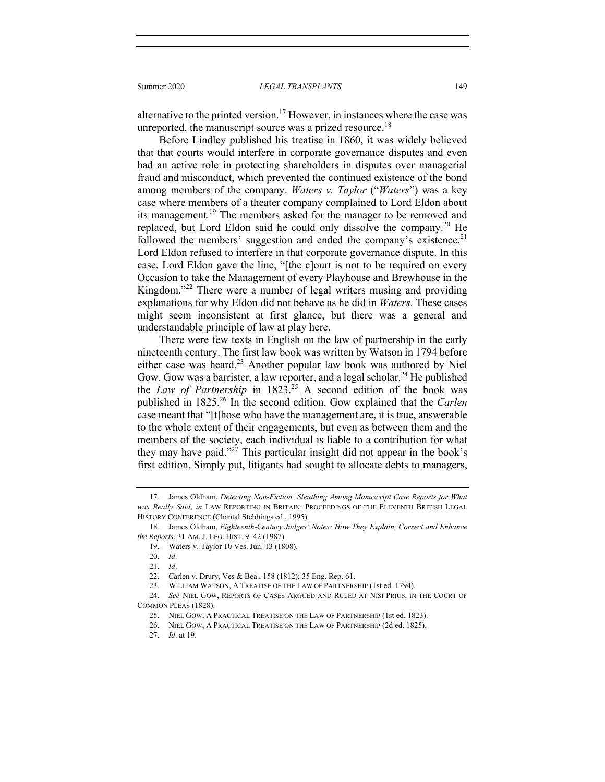Summer 2020 *LEGAL TRANSPLANTS* 149

alternative to the printed version.<sup>17</sup> However, in instances where the case was unreported, the manuscript source was a prized resource.<sup>18</sup>

Before Lindley published his treatise in 1860, it was widely believed that that courts would interfere in corporate governance disputes and even had an active role in protecting shareholders in disputes over managerial fraud and misconduct, which prevented the continued existence of the bond among members of the company. *Waters v. Taylor* ("*Waters*") was a key case where members of a theater company complained to Lord Eldon about its management.<sup>19</sup> The members asked for the manager to be removed and replaced, but Lord Eldon said he could only dissolve the company.<sup>20</sup> He followed the members' suggestion and ended the company's existence.<sup>21</sup> Lord Eldon refused to interfere in that corporate governance dispute. In this case, Lord Eldon gave the line, "[the c]ourt is not to be required on every Occasion to take the Management of every Playhouse and Brewhouse in the Kingdom."<sup>22</sup> There were a number of legal writers musing and providing explanations for why Eldon did not behave as he did in *Waters*. These cases might seem inconsistent at first glance, but there was a general and understandable principle of law at play here.

There were few texts in English on the law of partnership in the early nineteenth century. The first law book was written by Watson in 1794 before either case was heard.<sup>23</sup> Another popular law book was authored by Niel Gow. Gow was a barrister, a law reporter, and a legal scholar.<sup>24</sup> He published the *Law of Partnership* in  $1823$ <sup>25</sup> A second edition of the book was published in 1825.26 In the second edition, Gow explained that the *Carlen* case meant that "[t]hose who have the management are, it is true, answerable to the whole extent of their engagements, but even as between them and the members of the society, each individual is liable to a contribution for what they may have paid."<sup>27</sup> This particular insight did not appear in the book's first edition. Simply put, litigants had sought to allocate debts to managers,

 <sup>17.</sup> James Oldham, *Detecting Non-Fiction: Sleuthing Among Manuscript Case Reports for What was Really Said*, *in* LAW REPORTING IN BRITAIN: PROCEEDINGS OF THE ELEVENTH BRITISH LEGAL HISTORY CONFERENCE (Chantal Stebbings ed., 1995).

 <sup>18.</sup> James Oldham, *Eighteenth-Century Judges' Notes: How They Explain, Correct and Enhance the Reports*, 31 AM. J. LEG. HIST. 9–42 (1987).

 <sup>19.</sup> Waters v. Taylor 10 Ves. Jun. 13 (1808).

<sup>20.</sup> *Id*.

<sup>21.</sup> *Id*.

 <sup>22.</sup> Carlen v. Drury, Ves & Bea., 158 (1812); 35 Eng. Rep. 61.

 <sup>23.</sup> WILLIAM WATSON, A TREATISE OF THE LAW OF PARTNERSHIP (1st ed. 1794).

<sup>24.</sup> *See* NIEL GOW, REPORTS OF CASES ARGUED AND RULED AT NISI PRIUS, IN THE COURT OF COMMON PLEAS (1828).

 <sup>25.</sup> NIEL GOW, A PRACTICAL TREATISE ON THE LAW OF PARTNERSHIP (1st ed. 1823).

 <sup>26.</sup> NIEL GOW, A PRACTICAL TREATISE ON THE LAW OF PARTNERSHIP (2d ed. 1825).

<sup>27.</sup> *Id*. at 19.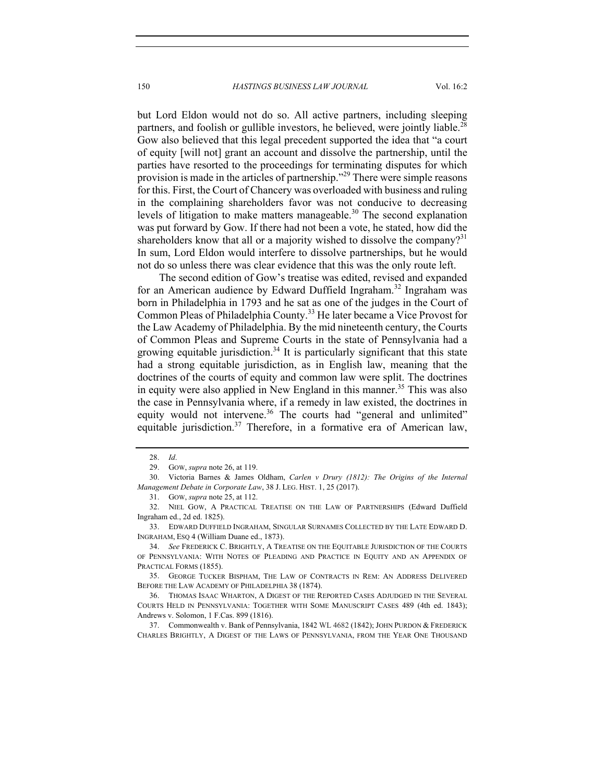but Lord Eldon would not do so. All active partners, including sleeping partners, and foolish or gullible investors, he believed, were jointly liable.<sup>28</sup> Gow also believed that this legal precedent supported the idea that "a court of equity [will not] grant an account and dissolve the partnership, until the parties have resorted to the proceedings for terminating disputes for which provision is made in the articles of partnership."<sup>29</sup> There were simple reasons for this. First, the Court of Chancery was overloaded with business and ruling in the complaining shareholders favor was not conducive to decreasing levels of litigation to make matters manageable.<sup>30</sup> The second explanation was put forward by Gow. If there had not been a vote, he stated, how did the shareholders know that all or a majority wished to dissolve the company?<sup>31</sup> In sum, Lord Eldon would interfere to dissolve partnerships, but he would not do so unless there was clear evidence that this was the only route left.

The second edition of Gow's treatise was edited, revised and expanded for an American audience by Edward Duffield Ingraham.<sup>32</sup> Ingraham was born in Philadelphia in 1793 and he sat as one of the judges in the Court of Common Pleas of Philadelphia County.<sup>33</sup> He later became a Vice Provost for the Law Academy of Philadelphia. By the mid nineteenth century, the Courts of Common Pleas and Supreme Courts in the state of Pennsylvania had a growing equitable jurisdiction.<sup>34</sup> It is particularly significant that this state had a strong equitable jurisdiction, as in English law, meaning that the doctrines of the courts of equity and common law were split. The doctrines in equity were also applied in New England in this manner.<sup>35</sup> This was also the case in Pennsylvania where, if a remedy in law existed, the doctrines in equity would not intervene.<sup>36</sup> The courts had "general and unlimited" equitable jurisdiction.<sup>37</sup> Therefore, in a formative era of American law,

<sup>28.</sup> *Id*.

 <sup>29.</sup> GOW, *supra* note 26, at 119.

 <sup>30.</sup> Victoria Barnes & James Oldham, *Carlen v Drury (1812): The Origins of the Internal Management Debate in Corporate Law*, 38 J. LEG. HIST. 1, 25 (2017).

 <sup>31.</sup> GOW, *supra* note 25, at 112.

 <sup>32.</sup> NIEL GOW, A PRACTICAL TREATISE ON THE LAW OF PARTNERSHIPS (Edward Duffield Ingraham ed., 2d ed. 1825).

 <sup>33.</sup> EDWARD DUFFIELD INGRAHAM, SINGULAR SURNAMES COLLECTED BY THE LATE EDWARD D. INGRAHAM, ESQ 4 (William Duane ed., 1873).

<sup>34.</sup> *See* FREDERICK C. BRIGHTLY, A TREATISE ON THE EQUITABLE JURISDICTION OF THE COURTS OF PENNSYLVANIA: WITH NOTES OF PLEADING AND PRACTICE IN EQUITY AND AN APPENDIX OF PRACTICAL FORMS (1855).

 <sup>35.</sup> GEORGE TUCKER BISPHAM, THE LAW OF CONTRACTS IN REM: AN ADDRESS DELIVERED BEFORE THE LAW ACADEMY OF PHILADELPHIA 38 (1874).

 <sup>36.</sup> THOMAS ISAAC WHARTON, A DIGEST OF THE REPORTED CASES ADJUDGED IN THE SEVERAL COURTS HELD IN PENNSYLVANIA: TOGETHER WITH SOME MANUSCRIPT CASES 489 (4th ed. 1843); Andrews v. Solomon, 1 F.Cas. 899 (1816).

 <sup>37.</sup> Commonwealth v. Bank of Pennsylvania, 1842 WL 4682 (1842); JOHN PURDON & FREDERICK CHARLES BRIGHTLY, A DIGEST OF THE LAWS OF PENNSYLVANIA, FROM THE YEAR ONE THOUSAND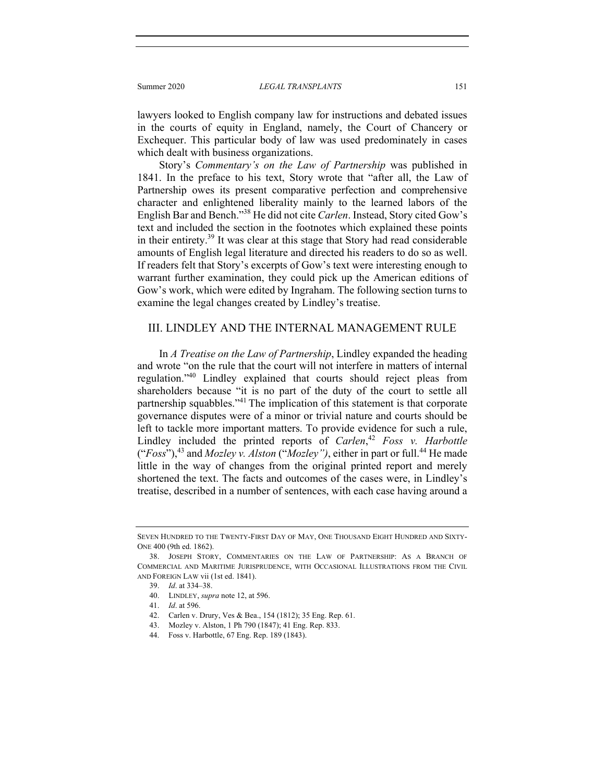Summer 2020 *LEGAL TRANSPLANTS* 151

lawyers looked to English company law for instructions and debated issues in the courts of equity in England, namely, the Court of Chancery or Exchequer. This particular body of law was used predominately in cases which dealt with business organizations.

Story's *Commentary's on the Law of Partnership* was published in 1841. In the preface to his text, Story wrote that "after all, the Law of Partnership owes its present comparative perfection and comprehensive character and enlightened liberality mainly to the learned labors of the English Bar and Bench."38 He did not cite *Carlen*. Instead, Story cited Gow's text and included the section in the footnotes which explained these points in their entirety.39 It was clear at this stage that Story had read considerable amounts of English legal literature and directed his readers to do so as well. If readers felt that Story's excerpts of Gow's text were interesting enough to warrant further examination, they could pick up the American editions of Gow's work, which were edited by Ingraham. The following section turns to examine the legal changes created by Lindley's treatise.

### III. LINDLEY AND THE INTERNAL MANAGEMENT RULE

In *A Treatise on the Law of Partnership*, Lindley expanded the heading and wrote "on the rule that the court will not interfere in matters of internal regulation."<sup>40</sup> Lindley explained that courts should reject pleas from shareholders because "it is no part of the duty of the court to settle all partnership squabbles."41 The implication of this statement is that corporate governance disputes were of a minor or trivial nature and courts should be left to tackle more important matters. To provide evidence for such a rule, Lindley included the printed reports of *Carlen*, <sup>42</sup> *Foss v. Harbottle* ("*Foss*"),43 and *Mozley v. Alston* ("*Mozley")*, either in part or full.44 He made little in the way of changes from the original printed report and merely shortened the text. The facts and outcomes of the cases were, in Lindley's treatise, described in a number of sentences, with each case having around a

SEVEN HUNDRED TO THE TWENTY-FIRST DAY OF MAY, ONE THOUSAND EIGHT HUNDRED AND SIXTY-ONE 400 (9th ed. 1862).

 <sup>38.</sup> JOSEPH STORY, COMMENTARIES ON THE LAW OF PARTNERSHIP: AS A BRANCH OF COMMERCIAL AND MARITIME JURISPRUDENCE, WITH OCCASIONAL ILLUSTRATIONS FROM THE CIVIL AND FOREIGN LAW vii (1st ed. 1841).

<sup>39.</sup> *Id*. at 334–38.

 <sup>40.</sup> LINDLEY, *supra* note 12, at 596.

<sup>41.</sup> *Id*. at 596.

 <sup>42.</sup> Carlen v. Drury, Ves & Bea., 154 (1812); 35 Eng. Rep. 61.

 <sup>43.</sup> Mozley v. Alston, 1 Ph 790 (1847); 41 Eng. Rep. 833.

 <sup>44.</sup> Foss v. Harbottle, 67 Eng. Rep. 189 (1843).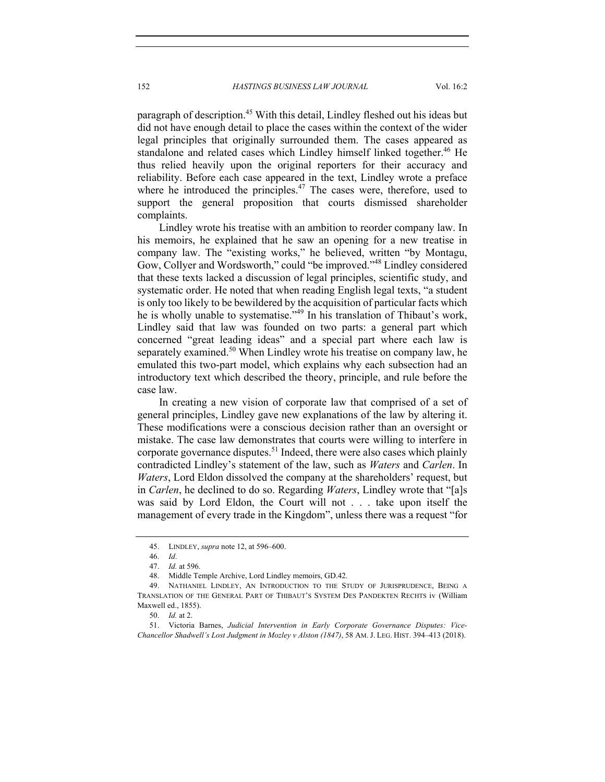paragraph of description.<sup>45</sup> With this detail, Lindley fleshed out his ideas but did not have enough detail to place the cases within the context of the wider legal principles that originally surrounded them. The cases appeared as standalone and related cases which Lindley himself linked together.<sup>46</sup> He thus relied heavily upon the original reporters for their accuracy and reliability. Before each case appeared in the text, Lindley wrote a preface where he introduced the principles. $47$  The cases were, therefore, used to support the general proposition that courts dismissed shareholder complaints.

Lindley wrote his treatise with an ambition to reorder company law. In his memoirs, he explained that he saw an opening for a new treatise in company law. The "existing works," he believed, written "by Montagu, Gow, Collyer and Wordsworth," could "be improved."48 Lindley considered that these texts lacked a discussion of legal principles, scientific study, and systematic order. He noted that when reading English legal texts, "a student is only too likely to be bewildered by the acquisition of particular facts which he is wholly unable to systematise."<sup>49</sup> In his translation of Thibaut's work, Lindley said that law was founded on two parts: a general part which concerned "great leading ideas" and a special part where each law is separately examined.<sup>50</sup> When Lindley wrote his treatise on company law, he emulated this two-part model, which explains why each subsection had an introductory text which described the theory, principle, and rule before the case law.

In creating a new vision of corporate law that comprised of a set of general principles, Lindley gave new explanations of the law by altering it. These modifications were a conscious decision rather than an oversight or mistake. The case law demonstrates that courts were willing to interfere in corporate governance disputes.<sup>51</sup> Indeed, there were also cases which plainly contradicted Lindley's statement of the law, such as *Waters* and *Carlen*. In *Waters*, Lord Eldon dissolved the company at the shareholders' request, but in *Carlen*, he declined to do so. Regarding *Waters*, Lindley wrote that "[a]s was said by Lord Eldon, the Court will not . . . take upon itself the management of every trade in the Kingdom", unless there was a request "for

 <sup>45.</sup> LINDLEY, *supra* note 12, at 596–600.

<sup>46.</sup> *Id*.

<sup>47.</sup> *Id.* at 596.

 <sup>48.</sup> Middle Temple Archive, Lord Lindley memoirs, GD.42.

 <sup>49.</sup> NATHANIEL LINDLEY, AN INTRODUCTION TO THE STUDY OF JURISPRUDENCE, BEING A TRANSLATION OF THE GENERAL PART OF THIBAUT'S SYSTEM DES PANDEKTEN RECHTS iv (William Maxwell ed., 1855).

<sup>50.</sup> *Id.* at 2.

 <sup>51.</sup> Victoria Barnes, *Judicial Intervention in Early Corporate Governance Disputes: Vice-Chancellor Shadwell's Lost Judgment in Mozley v Alston (1847)*, 58 AM. J. LEG. HIST. 394–413 (2018).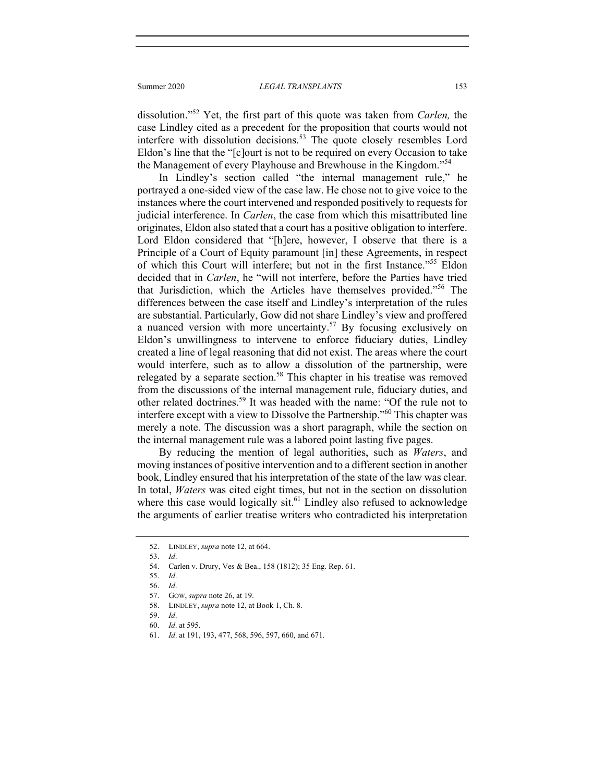dissolution."52 Yet, the first part of this quote was taken from *Carlen,* the case Lindley cited as a precedent for the proposition that courts would not interfere with dissolution decisions.<sup>53</sup> The quote closely resembles Lord Eldon's line that the "[c]ourt is not to be required on every Occasion to take the Management of every Playhouse and Brewhouse in the Kingdom."<sup>54</sup>

In Lindley's section called "the internal management rule," he portrayed a one-sided view of the case law. He chose not to give voice to the instances where the court intervened and responded positively to requests for judicial interference. In *Carlen*, the case from which this misattributed line originates, Eldon also stated that a court has a positive obligation to interfere. Lord Eldon considered that "[h]ere, however, I observe that there is a Principle of a Court of Equity paramount [in] these Agreements, in respect of which this Court will interfere; but not in the first Instance."55 Eldon decided that in *Carlen*, he "will not interfere, before the Parties have tried that Jurisdiction, which the Articles have themselves provided."56 The differences between the case itself and Lindley's interpretation of the rules are substantial. Particularly, Gow did not share Lindley's view and proffered a nuanced version with more uncertainty.<sup>57</sup> By focusing exclusively on Eldon's unwillingness to intervene to enforce fiduciary duties, Lindley created a line of legal reasoning that did not exist. The areas where the court would interfere, such as to allow a dissolution of the partnership, were relegated by a separate section.<sup>58</sup> This chapter in his treatise was removed from the discussions of the internal management rule, fiduciary duties, and other related doctrines.<sup>59</sup> It was headed with the name: "Of the rule not to interfere except with a view to Dissolve the Partnership."60 This chapter was merely a note. The discussion was a short paragraph, while the section on the internal management rule was a labored point lasting five pages.

By reducing the mention of legal authorities, such as *Waters*, and moving instances of positive intervention and to a different section in another book, Lindley ensured that his interpretation of the state of the law was clear. In total, *Waters* was cited eight times, but not in the section on dissolution where this case would logically sit.<sup>61</sup> Lindley also refused to acknowledge the arguments of earlier treatise writers who contradicted his interpretation

 <sup>52.</sup> LINDLEY, *supra* note 12, at 664.

<sup>53.</sup> *Id*.

 <sup>54.</sup> Carlen v. Drury, Ves & Bea., 158 (1812); 35 Eng. Rep. 61.

<sup>55.</sup> *Id*.

<sup>56.</sup> *Id*.

 <sup>57.</sup> GOW, *supra* note 26, at 19.

 <sup>58.</sup> LINDLEY, *supra* note 12, at Book 1, Ch. 8.

<sup>59.</sup> *Id*.

<sup>60.</sup> *Id*. at 595.

<sup>61.</sup> *Id*. at 191, 193, 477, 568, 596, 597, 660, and 671.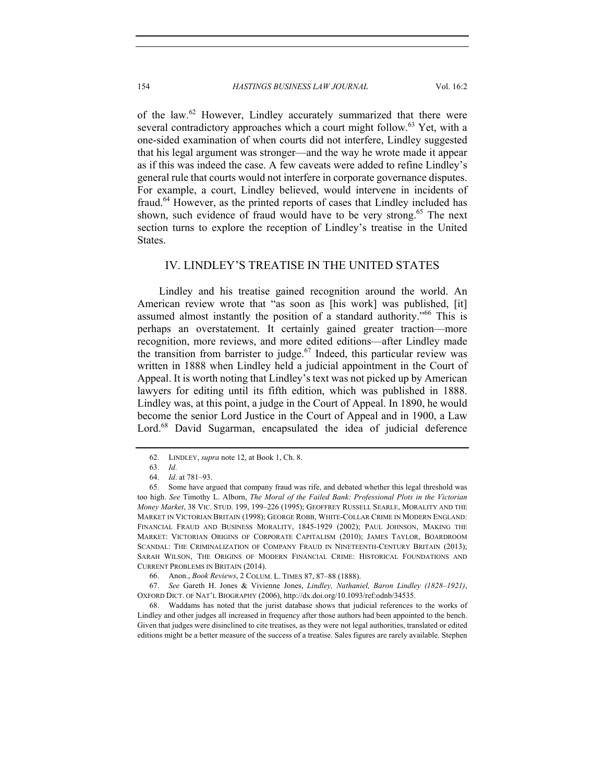of the law.<sup>62</sup> However, Lindley accurately summarized that there were several contradictory approaches which a court might follow.<sup>63</sup> Yet, with a one-sided examination of when courts did not interfere, Lindley suggested that his legal argument was stronger—and the way he wrote made it appear as if this was indeed the case. A few caveats were added to refine Lindley's general rule that courts would not interfere in corporate governance disputes. For example, a court, Lindley believed, would intervene in incidents of fraud.<sup>64</sup> However, as the printed reports of cases that Lindley included has shown, such evidence of fraud would have to be very strong.<sup>65</sup> The next section turns to explore the reception of Lindley's treatise in the United States.

#### IV. LINDLEY'S TREATISE IN THE UNITED STATES

Lindley and his treatise gained recognition around the world. An American review wrote that "as soon as [his work] was published, [it] assumed almost instantly the position of a standard authority."66 This is perhaps an overstatement. It certainly gained greater traction—more recognition, more reviews, and more edited editions—after Lindley made the transition from barrister to judge.<sup>67</sup> Indeed, this particular review was written in 1888 when Lindley held a judicial appointment in the Court of Appeal. It is worth noting that Lindley's text was not picked up by American lawyers for editing until its fifth edition, which was published in 1888. Lindley was, at this point, a judge in the Court of Appeal. In 1890, he would become the senior Lord Justice in the Court of Appeal and in 1900, a Law Lord.<sup>68</sup> David Sugarman, encapsulated the idea of judicial deference

 <sup>62.</sup> LINDLEY, *supra* note 12, at Book 1, Ch. 8.

 <sup>63.</sup> *Id*.

<sup>64.</sup> *Id*. at 781–93.

 <sup>65.</sup> Some have argued that company fraud was rife, and debated whether this legal threshold was too high. *See* Timothy L. Alborn, *The Moral of the Failed Bank: Professional Plots in the Victorian Money Market*, 38 VIC. STUD. 199, 199–226 (1995); GEOFFREY RUSSELL SEARLE, MORALITY AND THE MARKET IN VICTORIAN BRITAIN (1998); GEORGE ROBB, WHITE-COLLAR CRIME IN MODERN ENGLAND: FINANCIAL FRAUD AND BUSINESS MORALITY, 1845-1929 (2002); PAUL JOHNSON, MAKING THE MARKET: VICTORIAN ORIGINS OF CORPORATE CAPITALISM (2010); JAMES TAYLOR, BOARDROOM SCANDAL: THE CRIMINALIZATION OF COMPANY FRAUD IN NINETEENTH-CENTURY BRITAIN (2013); SARAH WILSON, THE ORIGINS OF MODERN FINANCIAL CRIME: HISTORICAL FOUNDATIONS AND CURRENT PROBLEMS IN BRITAIN (2014).

 <sup>66.</sup> Anon., *Book Reviews*, 2 COLUM. L. TIMES 87, 87–88 (1888).

 <sup>67.</sup> *See* Gareth H. Jones & Vivienne Jones, *Lindley, Nathaniel, Baron Lindley (1828–1921)*, OXFORD DICT. OF NAT'L BIOGRAPHY (2006), http://dx.doi.org/10.1093/ref:odnb/34535.

 <sup>68.</sup> Waddams has noted that the jurist database shows that judicial references to the works of Lindley and other judges all increased in frequency after those authors had been appointed to the bench. Given that judges were disinclined to cite treatises, as they were not legal authorities, translated or edited editions might be a better measure of the success of a treatise. Sales figures are rarely available. Stephen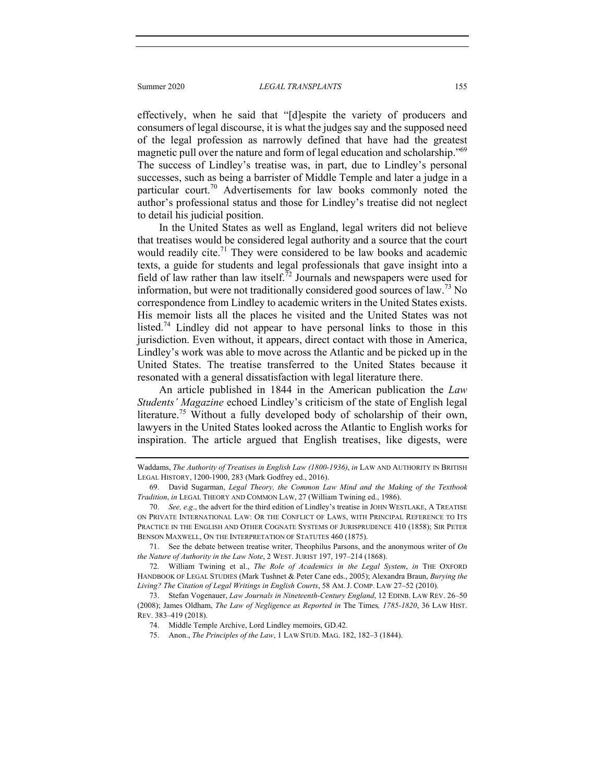effectively, when he said that "[d]espite the variety of producers and consumers of legal discourse, it is what the judges say and the supposed need of the legal profession as narrowly defined that have had the greatest magnetic pull over the nature and form of legal education and scholarship."<sup>69</sup> The success of Lindley's treatise was, in part, due to Lindley's personal successes, such as being a barrister of Middle Temple and later a judge in a particular court.<sup>70</sup> Advertisements for law books commonly noted the author's professional status and those for Lindley's treatise did not neglect to detail his judicial position.

In the United States as well as England, legal writers did not believe that treatises would be considered legal authority and a source that the court would readily cite.<sup>71</sup> They were considered to be law books and academic texts, a guide for students and legal professionals that gave insight into a field of law rather than law itself.<sup>72</sup> Journals and newspapers were used for information, but were not traditionally considered good sources of law.<sup>73</sup> No correspondence from Lindley to academic writers in the United States exists. His memoir lists all the places he visited and the United States was not listed.<sup>74</sup> Lindley did not appear to have personal links to those in this jurisdiction. Even without, it appears, direct contact with those in America, Lindley's work was able to move across the Atlantic and be picked up in the United States. The treatise transferred to the United States because it resonated with a general dissatisfaction with legal literature there.

An article published in 1844 in the American publication the *Law Students' Magazine* echoed Lindley's criticism of the state of English legal literature.<sup>75</sup> Without a fully developed body of scholarship of their own, lawyers in the United States looked across the Atlantic to English works for inspiration. The article argued that English treatises, like digests, were

 71. See the debate between treatise writer, Theophilus Parsons, and the anonymous writer of *On the Nature of Authority in the Law Note*, 2 WEST. JURIST 197, 197–214 (1868).

 72. William Twining et al., *The Role of Academics in the Legal System*, *in* THE OXFORD HANDBOOK OF LEGAL STUDIES (Mark Tushnet & Peter Cane eds., 2005); Alexandra Braun, *Burying the Living? The Citation of Legal Writings in English Courts*, 58 AM. J. COMP. LAW 27–52 (2010).

 73. Stefan Vogenauer, *Law Journals in Nineteenth-Century England*, 12 EDINB. LAW REV. 26–50 (2008); James Oldham, *The Law of Negligence as Reported in* The Times*, 1785-1820*, 36 LAW HIST. REV. 383–419 (2018).

75. Anon., *The Principles of the Law*, 1 LAW STUD. MAG. 182, 182–3 (1844).

Waddams, *The Authority of Treatises in English Law (1800-1936)*, *in* LAW AND AUTHORITY IN BRITISH LEGAL HISTORY, 1200-1900, 283 (Mark Godfrey ed., 2016).

 <sup>69.</sup> David Sugarman, *Legal Theory, the Common Law Mind and the Making of the Textbook Tradition*, *in* LEGAL THEORY AND COMMON LAW, 27 (William Twining ed., 1986).

<sup>70.</sup> *See, e*.*g*., the advert for the third edition of Lindley's treatise in JOHN WESTLAKE, A TREATISE ON PRIVATE INTERNATIONAL LAW: OR THE CONFLICT OF LAWS, WITH PRINCIPAL REFERENCE TO ITS PRACTICE IN THE ENGLISH AND OTHER COGNATE SYSTEMS OF JURISPRUDENCE 410 (1858); SIR PETER BENSON MAXWELL, ON THE INTERPRETATION OF STATUTES 460 (1875).

 <sup>74.</sup> Middle Temple Archive, Lord Lindley memoirs, GD.42.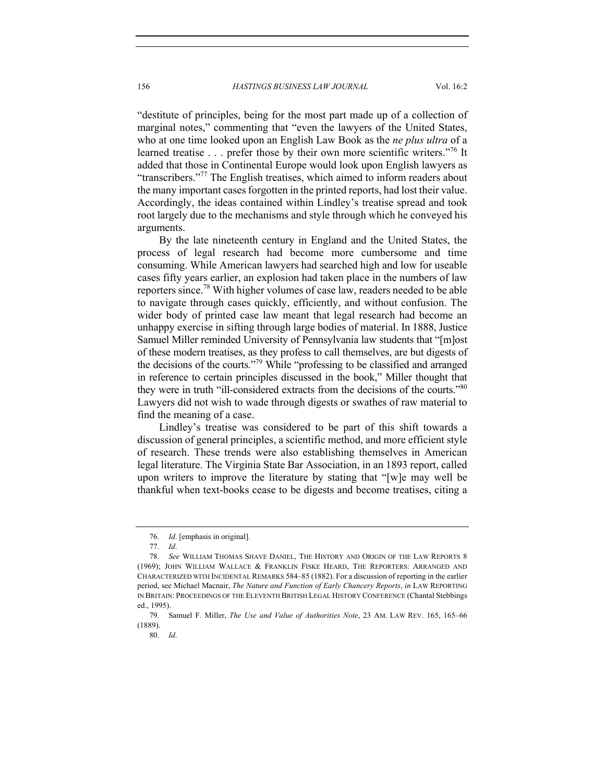156 *HASTINGS BUSINESS LAW JOURNAL* Vol. 16:2

"destitute of principles, being for the most part made up of a collection of marginal notes," commenting that "even the lawyers of the United States, who at one time looked upon an English Law Book as the *ne plus ultra* of a learned treatise . . . prefer those by their own more scientific writers."<sup>76</sup> It added that those in Continental Europe would look upon English lawyers as "transcribers."<sup>77</sup> The English treatises, which aimed to inform readers about the many important cases forgotten in the printed reports, had lost their value. Accordingly, the ideas contained within Lindley's treatise spread and took root largely due to the mechanisms and style through which he conveyed his arguments.

By the late nineteenth century in England and the United States, the process of legal research had become more cumbersome and time consuming. While American lawyers had searched high and low for useable cases fifty years earlier, an explosion had taken place in the numbers of law reporters since.<sup>78</sup> With higher volumes of case law, readers needed to be able to navigate through cases quickly, efficiently, and without confusion. The wider body of printed case law meant that legal research had become an unhappy exercise in sifting through large bodies of material. In 1888, Justice Samuel Miller reminded University of Pennsylvania law students that "[m]ost of these modern treatises, as they profess to call themselves, are but digests of the decisions of the courts."79 While "professing to be classified and arranged in reference to certain principles discussed in the book," Miller thought that they were in truth "ill-considered extracts from the decisions of the courts."80 Lawyers did not wish to wade through digests or swathes of raw material to find the meaning of a case.

Lindley's treatise was considered to be part of this shift towards a discussion of general principles, a scientific method, and more efficient style of research. These trends were also establishing themselves in American legal literature. The Virginia State Bar Association, in an 1893 report, called upon writers to improve the literature by stating that "[w]e may well be thankful when text-books cease to be digests and become treatises, citing a

<sup>76.</sup> *Id*. [emphasis in original].

<sup>77.</sup> *Id*.

 <sup>78.</sup> *See* WILLIAM THOMAS SHAVE DANIEL, THE HISTORY AND ORIGIN OF THE LAW REPORTS 8 (1969); JOHN WILLIAM WALLACE & FRANKLIN FISKE HEARD, THE REPORTERS: ARRANGED AND CHARACTERIZED WITH INCIDENTAL REMARKS 584–85 (1882). For a discussion of reporting in the earlier period, see Michael Macnair, *The Nature and Function of Early Chancery Reports*, *in* LAW REPORTING IN BRITAIN: PROCEEDINGS OF THE ELEVENTH BRITISH LEGAL HISTORY CONFERENCE (Chantal Stebbings ed., 1995).

 <sup>79.</sup> Samuel F. Miller, *The Use and Value of Authorities Note*, 23 AM. LAW REV. 165, 165–66 (1889).

<sup>80.</sup> *Id*.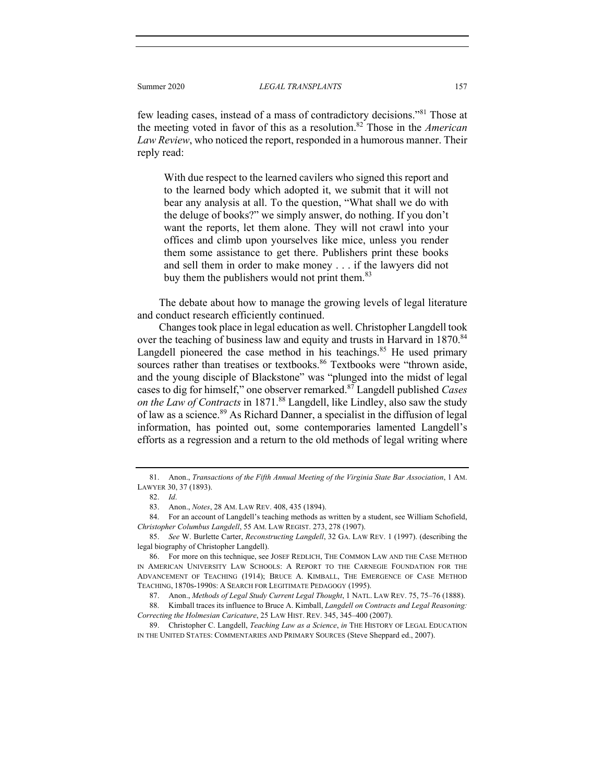few leading cases, instead of a mass of contradictory decisions."81 Those at the meeting voted in favor of this as a resolution.82 Those in the *American Law Review*, who noticed the report, responded in a humorous manner. Their reply read:

With due respect to the learned cavilers who signed this report and to the learned body which adopted it, we submit that it will not bear any analysis at all. To the question, "What shall we do with the deluge of books?" we simply answer, do nothing. If you don't want the reports, let them alone. They will not crawl into your offices and climb upon yourselves like mice, unless you render them some assistance to get there. Publishers print these books and sell them in order to make money . . . if the lawyers did not buy them the publishers would not print them.<sup>83</sup>

The debate about how to manage the growing levels of legal literature and conduct research efficiently continued.

Changes took place in legal education as well. Christopher Langdell took over the teaching of business law and equity and trusts in Harvard in 1870.<sup>84</sup> Langdell pioneered the case method in his teachings. $85$  He used primary sources rather than treatises or textbooks.<sup>86</sup> Textbooks were "thrown aside, and the young disciple of Blackstone" was "plunged into the midst of legal cases to dig for himself," one observer remarked.87 Langdell published *Cases on the Law of Contracts* in 1871.<sup>88</sup> Langdell, like Lindley, also saw the study of law as a science.89 As Richard Danner, a specialist in the diffusion of legal information, has pointed out, some contemporaries lamented Langdell's efforts as a regression and a return to the old methods of legal writing where

 <sup>81.</sup> Anon., *Transactions of the Fifth Annual Meeting of the Virginia State Bar Association*, 1 AM. LAWYER 30, 37 (1893).

<sup>82.</sup> *Id*.

 <sup>83.</sup> Anon., *Notes*, 28 AM. LAW REV. 408, 435 (1894).

 <sup>84.</sup> For an account of Langdell's teaching methods as written by a student, see William Schofield, *Christopher Columbus Langdell*, 55 AM. LAW REGIST. 273, 278 (1907).

<sup>85.</sup> *See* W. Burlette Carter, *Reconstructing Langdell*, 32 GA. LAW REV. 1 (1997). (describing the legal biography of Christopher Langdell).

 <sup>86.</sup> For more on this technique, see JOSEF REDLICH, THE COMMON LAW AND THE CASE METHOD IN AMERICAN UNIVERSITY LAW SCHOOLS: A REPORT TO THE CARNEGIE FOUNDATION FOR THE ADVANCEMENT OF TEACHING (1914); BRUCE A. KIMBALL, THE EMERGENCE OF CASE METHOD TEACHING, 1870S-1990S: A SEARCH FOR LEGITIMATE PEDAGOGY (1995).

 <sup>87.</sup> Anon., *Methods of Legal Study Current Legal Thought*, 1 NATL. LAW REV. 75, 75–76 (1888).

 <sup>88.</sup> Kimball traces its influence to Bruce A. Kimball, *Langdell on Contracts and Legal Reasoning: Correcting the Holmesian Caricature*, 25 LAW HIST. REV. 345, 345–400 (2007).

 <sup>89.</sup> Christopher C. Langdell, *Teaching Law as a Science*, *in* THE HISTORY OF LEGAL EDUCATION IN THE UNITED STATES: COMMENTARIES AND PRIMARY SOURCES (Steve Sheppard ed., 2007).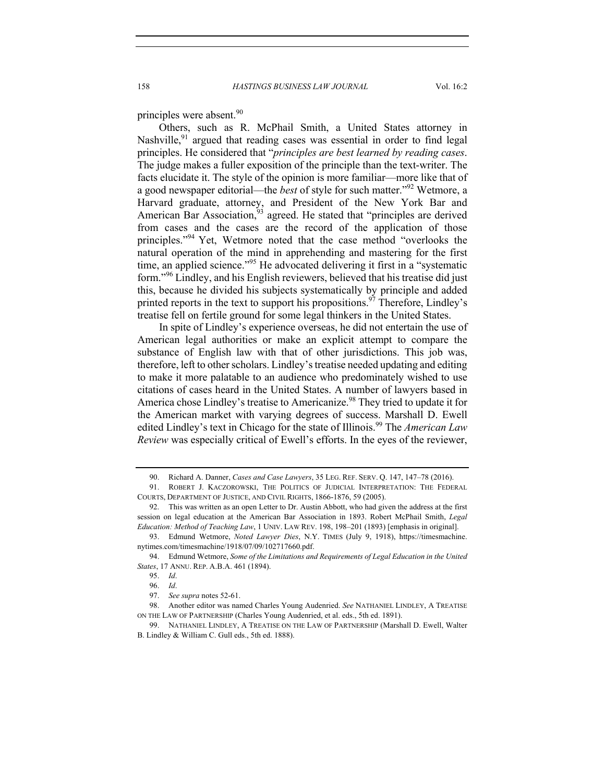principles were absent.<sup>90</sup>

Others, such as R. McPhail Smith, a United States attorney in Nashville,  $91$  argued that reading cases was essential in order to find legal principles. He considered that "*principles are best learned by reading cases*. The judge makes a fuller exposition of the principle than the text-writer. The facts elucidate it. The style of the opinion is more familiar—more like that of a good newspaper editorial—the *best* of style for such matter."92 Wetmore, a Harvard graduate, attorney, and President of the New York Bar and American Bar Association, $93$  agreed. He stated that "principles are derived from cases and the cases are the record of the application of those principles."<sup>94</sup> Yet, Wetmore noted that the case method "overlooks the natural operation of the mind in apprehending and mastering for the first time, an applied science."<sup>95</sup> He advocated delivering it first in a "systematic form."96 Lindley, and his English reviewers, believed that his treatise did just this, because he divided his subjects systematically by principle and added printed reports in the text to support his propositions.<sup>97</sup> Therefore, Lindley's treatise fell on fertile ground for some legal thinkers in the United States.

In spite of Lindley's experience overseas, he did not entertain the use of American legal authorities or make an explicit attempt to compare the substance of English law with that of other jurisdictions. This job was, therefore, left to other scholars. Lindley's treatise needed updating and editing to make it more palatable to an audience who predominately wished to use citations of cases heard in the United States. A number of lawyers based in America chose Lindley's treatise to Americanize.<sup>98</sup> They tried to update it for the American market with varying degrees of success. Marshall D. Ewell edited Lindley's text in Chicago for the state of Illinois.<sup>99</sup> The *American Law Review* was especially critical of Ewell's efforts. In the eyes of the reviewer,

 <sup>90.</sup> Richard A. Danner, *Cases and Case Lawyers*, 35 LEG. REF. SERV. Q. 147, 147–78 (2016).

 <sup>91.</sup> ROBERT J. KACZOROWSKI, THE POLITICS OF JUDICIAL INTERPRETATION: THE FEDERAL COURTS, DEPARTMENT OF JUSTICE, AND CIVIL RIGHTS, 1866-1876, 59 (2005).

 <sup>92.</sup> This was written as an open Letter to Dr. Austin Abbott, who had given the address at the first session on legal education at the American Bar Association in 1893. Robert McPhail Smith, *Legal Education: Method of Teaching Law*, 1 UNIV. LAW REV. 198, 198–201 (1893) [emphasis in original].

 <sup>93.</sup> Edmund Wetmore, *Noted Lawyer Dies*, N.Y. TIMES (July 9, 1918), https://timesmachine. nytimes.com/timesmachine/1918/07/09/102717660.pdf.

 <sup>94.</sup> Edmund Wetmore, *Some of the Limitations and Requirements of Legal Education in the United States*, 17 ANNU. REP. A.B.A. 461 (1894).

<sup>95.</sup> *Id*.

<sup>96.</sup> *Id*.

 <sup>97.</sup> *See supra* notes 52-61.

 <sup>98.</sup> Another editor was named Charles Young Audenried. *See* NATHANIEL LINDLEY, A TREATISE ON THE LAW OF PARTNERSHIP (Charles Young Audenried, et al. eds., 5th ed. 1891).

 <sup>99.</sup> NATHANIEL LINDLEY, A TREATISE ON THE LAW OF PARTNERSHIP (Marshall D. Ewell, Walter B. Lindley & William C. Gull eds., 5th ed. 1888).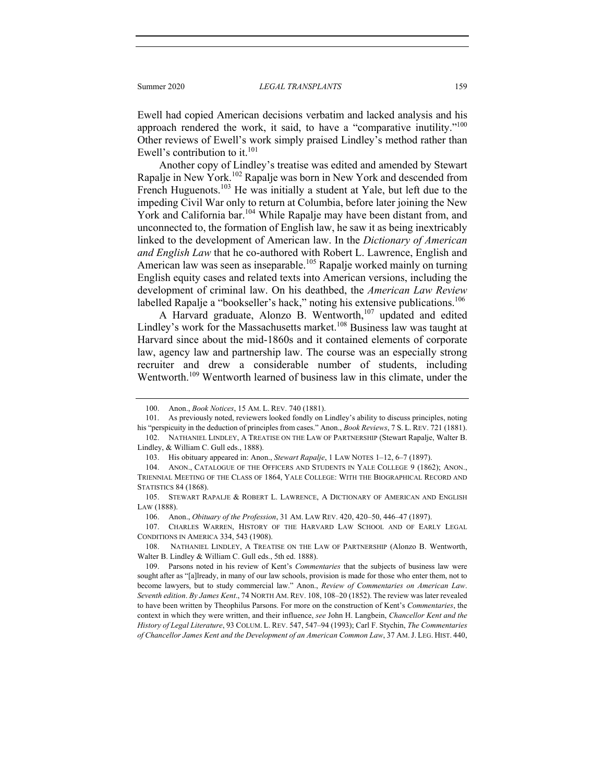Ewell had copied American decisions verbatim and lacked analysis and his approach rendered the work, it said, to have a "comparative inutility."<sup>100</sup> Other reviews of Ewell's work simply praised Lindley's method rather than Ewell's contribution to it. $101$ 

Another copy of Lindley's treatise was edited and amended by Stewart Rapalje in New York.102 Rapalje was born in New York and descended from French Huguenots.<sup>103</sup> He was initially a student at Yale, but left due to the impeding Civil War only to return at Columbia, before later joining the New York and California bar.<sup>104</sup> While Rapalje may have been distant from, and unconnected to, the formation of English law, he saw it as being inextricably linked to the development of American law. In the *Dictionary of American and English Law* that he co-authored with Robert L. Lawrence, English and American law was seen as inseparable.<sup>105</sup> Rapalje worked mainly on turning English equity cases and related texts into American versions, including the development of criminal law. On his deathbed, the *American Law Review* labelled Rapalje a "bookseller's hack," noting his extensive publications.<sup>106</sup>

A Harvard graduate, Alonzo B. Wentworth,<sup>107</sup> updated and edited Lindley's work for the Massachusetts market.<sup>108</sup> Business law was taught at Harvard since about the mid-1860s and it contained elements of corporate law, agency law and partnership law. The course was an especially strong recruiter and drew a considerable number of students, including Wentworth.<sup>109</sup> Wentworth learned of business law in this climate, under the

 <sup>100.</sup> Anon., *Book Notices*, 15 AM. L. REV. 740 (1881).

 <sup>101.</sup> As previously noted, reviewers looked fondly on Lindley's ability to discuss principles, noting his "perspicuity in the deduction of principles from cases." Anon., *Book Reviews*, 7 S. L. REV. 721 (1881).

 <sup>102.</sup> NATHANIEL LINDLEY, A TREATISE ON THE LAW OF PARTNERSHIP (Stewart Rapalje, Walter B. Lindley, & William C. Gull eds., 1888).

 <sup>103.</sup> His obituary appeared in: Anon., *Stewart Rapalje*, 1 LAW NOTES 1–12, 6–7 (1897).

 <sup>104.</sup> ANON., CATALOGUE OF THE OFFICERS AND STUDENTS IN YALE COLLEGE 9 (1862); ANON., TRIENNIAL MEETING OF THE CLASS OF 1864, YALE COLLEGE: WITH THE BIOGRAPHICAL RECORD AND STATISTICS 84 (1868).

 <sup>105.</sup> STEWART RAPALJE & ROBERT L. LAWRENCE, A DICTIONARY OF AMERICAN AND ENGLISH LAW (1888).

 <sup>106.</sup> Anon., *Obituary of the Profession*, 31 AM. LAW REV. 420, 420–50, 446–47 (1897).

 <sup>107.</sup> CHARLES WARREN, HISTORY OF THE HARVARD LAW SCHOOL AND OF EARLY LEGAL CONDITIONS IN AMERICA 334, 543 (1908).

 <sup>108.</sup> NATHANIEL LINDLEY, A TREATISE ON THE LAW OF PARTNERSHIP (Alonzo B. Wentworth, Walter B. Lindley & William C. Gull eds., 5th ed. 1888).

 <sup>109.</sup> Parsons noted in his review of Kent's *Commentaries* that the subjects of business law were sought after as "[a]lready, in many of our law schools, provision is made for those who enter them, not to become lawyers, but to study commercial law." Anon., *Review of Commentaries on American Law*. *Seventh edition*. *By James Kent*., 74 NORTH AM. REV. 108, 108–20 (1852). The review was later revealed to have been written by Theophilus Parsons. For more on the construction of Kent's *Commentaries*, the context in which they were written, and their influence, *see* John H. Langbein, *Chancellor Kent and the History of Legal Literature*, 93 COLUM. L. REV. 547, 547–94 (1993); Carl F. Stychin, *The Commentaries of Chancellor James Kent and the Development of an American Common Law*, 37 AM.J. LEG. HIST. 440,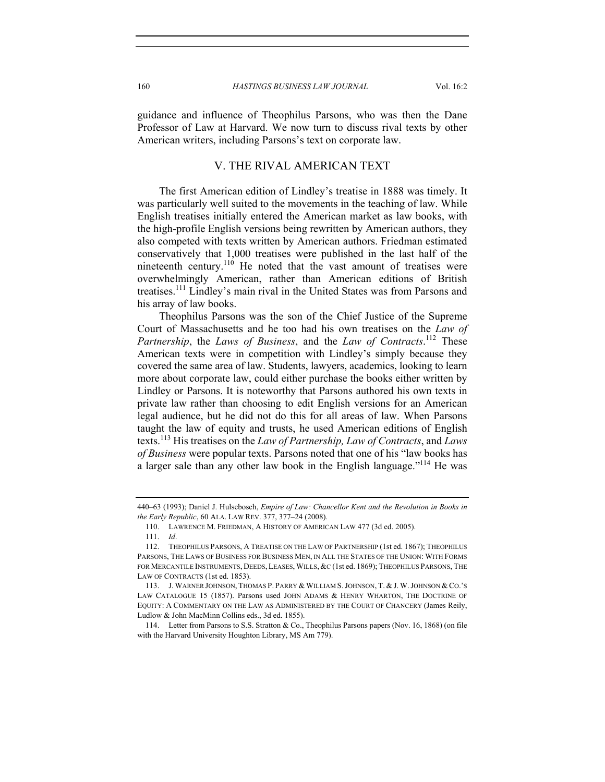guidance and influence of Theophilus Parsons, who was then the Dane Professor of Law at Harvard. We now turn to discuss rival texts by other American writers, including Parsons's text on corporate law.

#### V. THE RIVAL AMERICAN TEXT

The first American edition of Lindley's treatise in 1888 was timely. It was particularly well suited to the movements in the teaching of law. While English treatises initially entered the American market as law books, with the high-profile English versions being rewritten by American authors, they also competed with texts written by American authors. Friedman estimated conservatively that 1,000 treatises were published in the last half of the nineteenth century.<sup>110</sup> He noted that the vast amount of treatises were overwhelmingly American, rather than American editions of British treatises.111 Lindley's main rival in the United States was from Parsons and his array of law books.

Theophilus Parsons was the son of the Chief Justice of the Supreme Court of Massachusetts and he too had his own treatises on the *Law of Partnership*, the *Laws of Business*, and the *Law of Contracts*. <sup>112</sup> These American texts were in competition with Lindley's simply because they covered the same area of law. Students, lawyers, academics, looking to learn more about corporate law, could either purchase the books either written by Lindley or Parsons. It is noteworthy that Parsons authored his own texts in private law rather than choosing to edit English versions for an American legal audience, but he did not do this for all areas of law. When Parsons taught the law of equity and trusts, he used American editions of English texts.113 His treatises on the *Law of Partnership, Law of Contracts*, and *Laws of Business* were popular texts. Parsons noted that one of his "law books has a larger sale than any other law book in the English language."114 He was

<sup>440–63 (1993);</sup> Daniel J. Hulsebosch, *Empire of Law: Chancellor Kent and the Revolution in Books in the Early Republic*, 60 ALA. LAW REV. 377, 377–24 (2008).

 <sup>110.</sup> LAWRENCE M. FRIEDMAN, A HISTORY OF AMERICAN LAW 477 (3d ed. 2005).

<sup>111.</sup> *Id*.

 <sup>112.</sup> THEOPHILUS PARSONS, A TREATISE ON THE LAW OF PARTNERSHIP (1st ed. 1867); THEOPHILUS PARSONS, THE LAWS OF BUSINESS FOR BUSINESS MEN, IN ALL THE STATES OF THE UNION: WITH FORMS FOR MERCANTILE INSTRUMENTS, DEEDS, LEASES, WILLS, &C (1st ed. 1869); THEOPHILUS PARSONS, THE LAW OF CONTRACTS (1st ed. 1853).

 <sup>113.</sup> J.WARNER JOHNSON, THOMAS P. PARRY & WILLIAM S.JOHNSON, T. &J. W.JOHNSON &CO.'S LAW CATALOGUE 15 (1857). Parsons used JOHN ADAMS & HENRY WHARTON, THE DOCTRINE OF EQUITY: A COMMENTARY ON THE LAW AS ADMINISTERED BY THE COURT OF CHANCERY (James Reily, Ludlow & John MacMinn Collins eds., 3d ed. 1855).

 <sup>114.</sup> Letter from Parsons to S.S. Stratton & Co., Theophilus Parsons papers (Nov. 16, 1868) (on file with the Harvard University Houghton Library, MS Am 779).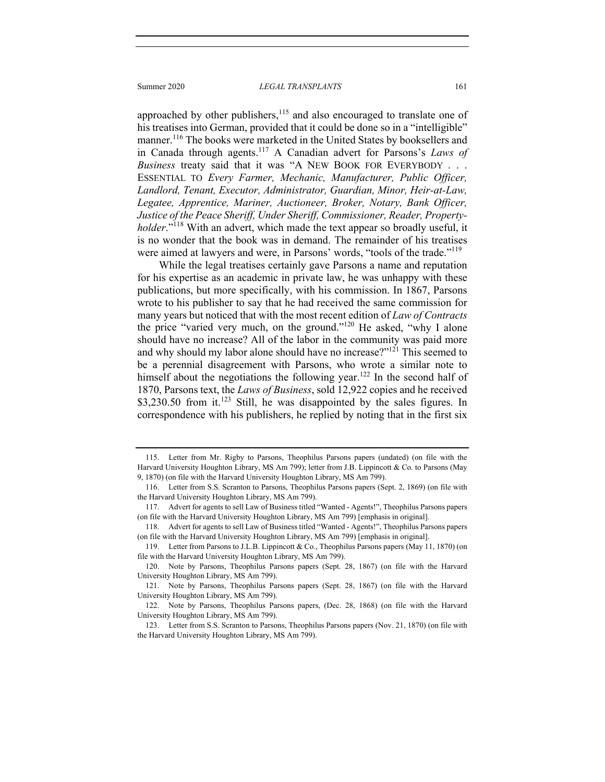#### Summer 2020 *LEGAL TRANSPLANTS* 161

approached by other publishers, $115$  and also encouraged to translate one of his treatises into German, provided that it could be done so in a "intelligible" manner.<sup>116</sup> The books were marketed in the United States by booksellers and in Canada through agents.117 A Canadian advert for Parsons's *Laws of Business* treaty said that it was "A NEW BOOK FOR EVERYBODY . . . ESSENTIAL TO *Every Farmer, Mechanic, Manufacturer, Public Officer, Landlord, Tenant, Executor, Administrator, Guardian, Minor, Heir-at-Law, Legatee, Apprentice, Mariner, Auctioneer, Broker, Notary, Bank Officer, Justice of the Peace Sheriff, Under Sheriff, Commissioner, Reader, Propertyholder*."<sup>118</sup> With an advert, which made the text appear so broadly useful, it is no wonder that the book was in demand. The remainder of his treatises were aimed at lawyers and were, in Parsons' words, "tools of the trade."<sup>119</sup>

While the legal treatises certainly gave Parsons a name and reputation for his expertise as an academic in private law, he was unhappy with these publications, but more specifically, with his commission. In 1867, Parsons wrote to his publisher to say that he had received the same commission for many years but noticed that with the most recent edition of *Law of Contracts* the price "varied very much, on the ground."120 He asked, "why I alone should have no increase? All of the labor in the community was paid more and why should my labor alone should have no increase?"<sup>121</sup> This seemed to be a perennial disagreement with Parsons, who wrote a similar note to himself about the negotiations the following year.<sup>122</sup> In the second half of 1870, Parsons text, the *Laws of Business*, sold 12,922 copies and he received  $$3,230.50$  from it.<sup>123</sup> Still, he was disappointed by the sales figures. In correspondence with his publishers, he replied by noting that in the first six

 <sup>115.</sup> Letter from Mr. Rigby to Parsons, Theophilus Parsons papers (undated) (on file with the Harvard University Houghton Library, MS Am 799); letter from J.B. Lippincott & Co. to Parsons (May 9, 1870) (on file with the Harvard University Houghton Library, MS Am 799).

 <sup>116.</sup> Letter from S.S. Scranton to Parsons, Theophilus Parsons papers (Sept. 2, 1869) (on file with the Harvard University Houghton Library, MS Am 799).

 <sup>117.</sup> Advert for agents to sell Law of Business titled "Wanted - Agents!", Theophilus Parsons papers (on file with the Harvard University Houghton Library, MS Am 799) [emphasis in original].

 <sup>118.</sup> Advert for agents to sell Law of Business titled "Wanted - Agents!", Theophilus Parsons papers (on file with the Harvard University Houghton Library, MS Am 799) [emphasis in original].

 <sup>119.</sup> Letter from Parsons to J.L.B. Lippincott & Co., Theophilus Parsons papers (May 11, 1870) (on file with the Harvard University Houghton Library, MS Am 799).

 <sup>120.</sup> Note by Parsons, Theophilus Parsons papers (Sept. 28, 1867) (on file with the Harvard University Houghton Library, MS Am 799).

 <sup>121.</sup> Note by Parsons, Theophilus Parsons papers (Sept. 28, 1867) (on file with the Harvard University Houghton Library, MS Am 799).

 <sup>122.</sup> Note by Parsons, Theophilus Parsons papers, (Dec. 28, 1868) (on file with the Harvard University Houghton Library, MS Am 799).

 <sup>123.</sup> Letter from S.S. Scranton to Parsons, Theophilus Parsons papers (Nov. 21, 1870) (on file with the Harvard University Houghton Library, MS Am 799).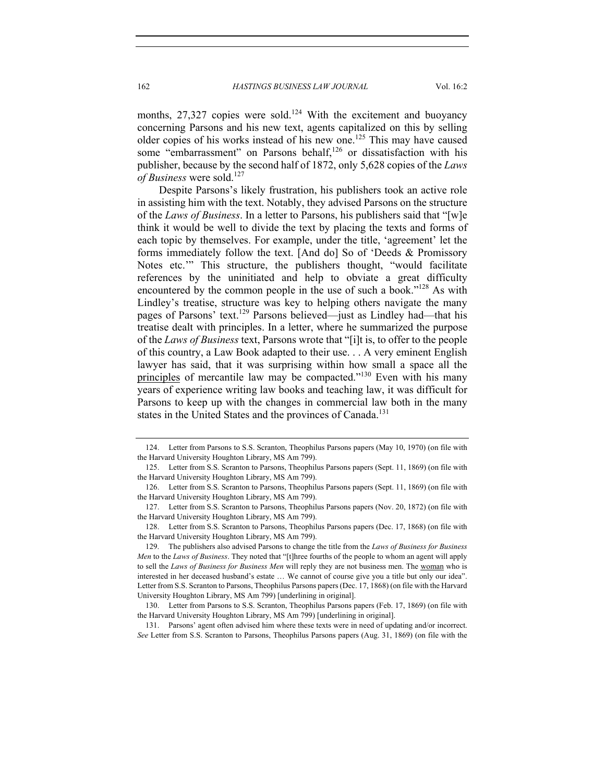months,  $27,327$  copies were sold.<sup>124</sup> With the excitement and buoyancy concerning Parsons and his new text, agents capitalized on this by selling older copies of his works instead of his new one.<sup>125</sup> This may have caused some "embarrassment" on Parsons behalf,<sup>126</sup> or dissatisfaction with his publisher, because by the second half of 1872, only 5,628 copies of the *Laws of Business* were sold.<sup>127</sup>

Despite Parsons's likely frustration, his publishers took an active role in assisting him with the text. Notably, they advised Parsons on the structure of the *Laws of Business*. In a letter to Parsons, his publishers said that "[w]e think it would be well to divide the text by placing the texts and forms of each topic by themselves. For example, under the title, 'agreement' let the forms immediately follow the text. [And do] So of 'Deeds & Promissory Notes etc.'" This structure, the publishers thought, "would facilitate references by the uninitiated and help to obviate a great difficulty encountered by the common people in the use of such a book."<sup>128</sup> As with Lindley's treatise, structure was key to helping others navigate the many pages of Parsons' text.<sup>129</sup> Parsons believed—just as Lindley had—that his treatise dealt with principles. In a letter, where he summarized the purpose of the *Laws of Business* text, Parsons wrote that "[i]t is, to offer to the people of this country, a Law Book adapted to their use. . . A very eminent English lawyer has said, that it was surprising within how small a space all the principles of mercantile law may be compacted."<sup>130</sup> Even with his many years of experience writing law books and teaching law, it was difficult for Parsons to keep up with the changes in commercial law both in the many states in the United States and the provinces of Canada.<sup>131</sup>

 131. Parsons' agent often advised him where these texts were in need of updating and/or incorrect. *See* Letter from S.S. Scranton to Parsons, Theophilus Parsons papers (Aug. 31, 1869) (on file with the

 <sup>124.</sup> Letter from Parsons to S.S. Scranton, Theophilus Parsons papers (May 10, 1970) (on file with the Harvard University Houghton Library, MS Am 799).

 <sup>125.</sup> Letter from S.S. Scranton to Parsons, Theophilus Parsons papers (Sept. 11, 1869) (on file with the Harvard University Houghton Library, MS Am 799).

 <sup>126.</sup> Letter from S.S. Scranton to Parsons, Theophilus Parsons papers (Sept. 11, 1869) (on file with the Harvard University Houghton Library, MS Am 799).

 <sup>127.</sup> Letter from S.S. Scranton to Parsons, Theophilus Parsons papers (Nov. 20, 1872) (on file with the Harvard University Houghton Library, MS Am 799).

 <sup>128.</sup> Letter from S.S. Scranton to Parsons, Theophilus Parsons papers (Dec. 17, 1868) (on file with the Harvard University Houghton Library, MS Am 799).

 <sup>129.</sup> The publishers also advised Parsons to change the title from the *Laws of Business for Business Men* to the *Laws of Business*. They noted that "[t]hree fourths of the people to whom an agent will apply to sell the *Laws of Business for Business Men* will reply they are not business men. The woman who is interested in her deceased husband's estate … We cannot of course give you a title but only our idea". Letter from S.S. Scranton to Parsons, Theophilus Parsons papers (Dec. 17, 1868) (on file with the Harvard University Houghton Library, MS Am 799) [underlining in original].

 <sup>130.</sup> Letter from Parsons to S.S. Scranton, Theophilus Parsons papers (Feb. 17, 1869) (on file with the Harvard University Houghton Library, MS Am 799) [underlining in original].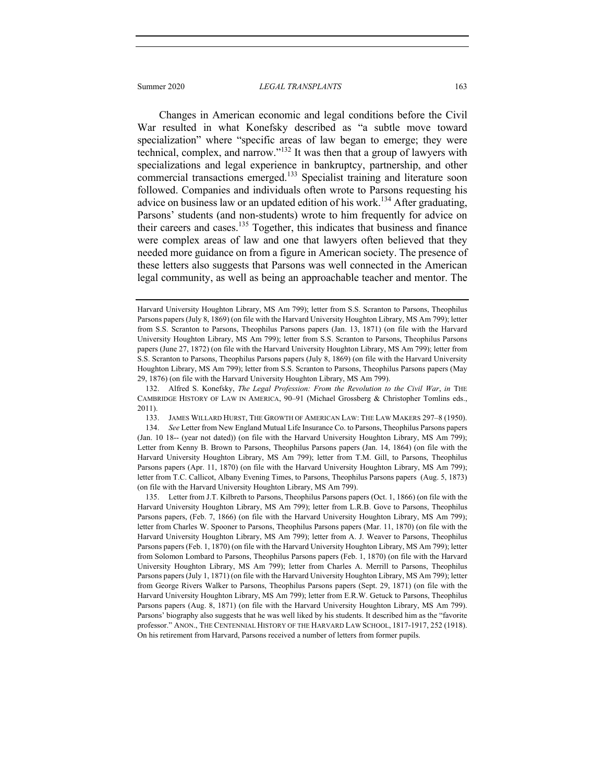Changes in American economic and legal conditions before the Civil War resulted in what Konefsky described as "a subtle move toward specialization" where "specific areas of law began to emerge; they were technical, complex, and narrow."132 It was then that a group of lawyers with specializations and legal experience in bankruptcy, partnership, and other commercial transactions emerged.<sup>133</sup> Specialist training and literature soon followed. Companies and individuals often wrote to Parsons requesting his advice on business law or an updated edition of his work.<sup>134</sup> After graduating, Parsons' students (and non-students) wrote to him frequently for advice on their careers and cases.<sup>135</sup> Together, this indicates that business and finance were complex areas of law and one that lawyers often believed that they needed more guidance on from a figure in American society. The presence of these letters also suggests that Parsons was well connected in the American legal community, as well as being an approachable teacher and mentor. The

133. JAMES WILLARD HURST, THE GROWTH OF AMERICAN LAW: THE LAW MAKERS 297–8 (1950).

134. *See* Letter from New England Mutual Life Insurance Co. to Parsons, Theophilus Parsons papers (Jan. 10 18-- (year not dated)) (on file with the Harvard University Houghton Library, MS Am 799); Letter from Kenny B. Brown to Parsons, Theophilus Parsons papers (Jan. 14, 1864) (on file with the Harvard University Houghton Library, MS Am 799); letter from T.M. Gill, to Parsons, Theophilus Parsons papers (Apr. 11, 1870) (on file with the Harvard University Houghton Library, MS Am 799); letter from T.C. Callicot, Albany Evening Times, to Parsons, Theophilus Parsons papers (Aug. 5, 1873) (on file with the Harvard University Houghton Library, MS Am 799).

 135. Letter from J.T. Kilbreth to Parsons, Theophilus Parsons papers (Oct. 1, 1866) (on file with the Harvard University Houghton Library, MS Am 799); letter from L.R.B. Gove to Parsons, Theophilus Parsons papers, (Feb. 7, 1866) (on file with the Harvard University Houghton Library, MS Am 799); letter from Charles W. Spooner to Parsons, Theophilus Parsons papers (Mar. 11, 1870) (on file with the Harvard University Houghton Library, MS Am 799); letter from A. J. Weaver to Parsons, Theophilus Parsons papers (Feb. 1, 1870) (on file with the Harvard University Houghton Library, MS Am 799); letter from Solomon Lombard to Parsons, Theophilus Parsons papers (Feb. 1, 1870) (on file with the Harvard University Houghton Library, MS Am 799); letter from Charles A. Merrill to Parsons, Theophilus Parsons papers (July 1, 1871) (on file with the Harvard University Houghton Library, MS Am 799); letter from George Rivers Walker to Parsons, Theophilus Parsons papers (Sept. 29, 1871) (on file with the Harvard University Houghton Library, MS Am 799); letter from E.R.W. Getuck to Parsons, Theophilus Parsons papers (Aug. 8, 1871) (on file with the Harvard University Houghton Library, MS Am 799). Parsons' biography also suggests that he was well liked by his students. It described him as the "favorite professor." ANON., THE CENTENNIAL HISTORY OF THE HARVARD LAW SCHOOL, 1817-1917, 252 (1918). On his retirement from Harvard, Parsons received a number of letters from former pupils.

Harvard University Houghton Library, MS Am 799); letter from S.S. Scranton to Parsons, Theophilus Parsons papers (July 8, 1869) (on file with the Harvard University Houghton Library, MS Am 799); letter from S.S. Scranton to Parsons, Theophilus Parsons papers (Jan. 13, 1871) (on file with the Harvard University Houghton Library, MS Am 799); letter from S.S. Scranton to Parsons, Theophilus Parsons papers (June 27, 1872) (on file with the Harvard University Houghton Library, MS Am 799); letter from S.S. Scranton to Parsons, Theophilus Parsons papers (July 8, 1869) (on file with the Harvard University Houghton Library, MS Am 799); letter from S.S. Scranton to Parsons, Theophilus Parsons papers (May 29, 1876) (on file with the Harvard University Houghton Library, MS Am 799).

 <sup>132.</sup> Alfred S. Konefsky, *The Legal Profession: From the Revolution to the Civil War*, *in* THE CAMBRIDGE HISTORY OF LAW IN AMERICA, 90–91 (Michael Grossberg & Christopher Tomlins eds., 2011).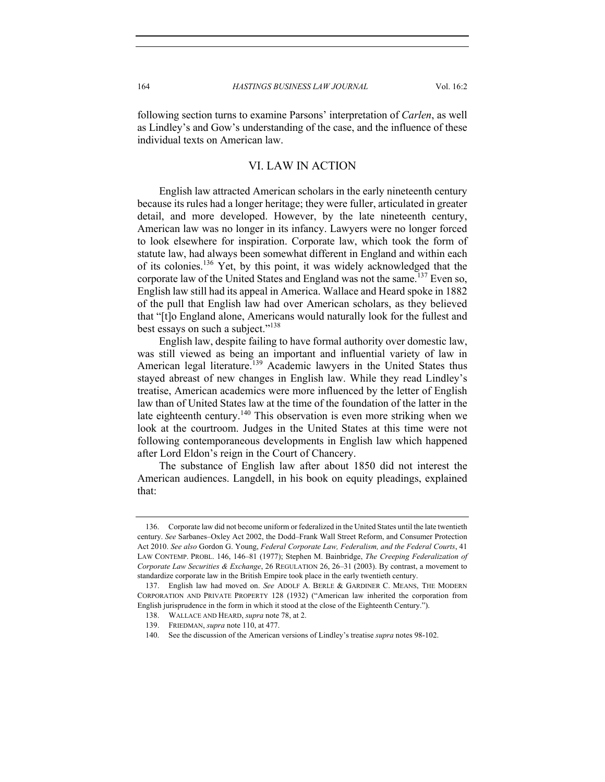following section turns to examine Parsons' interpretation of *Carlen*, as well as Lindley's and Gow's understanding of the case, and the influence of these individual texts on American law.

#### VI. LAW IN ACTION

English law attracted American scholars in the early nineteenth century because its rules had a longer heritage; they were fuller, articulated in greater detail, and more developed. However, by the late nineteenth century, American law was no longer in its infancy. Lawyers were no longer forced to look elsewhere for inspiration. Corporate law, which took the form of statute law, had always been somewhat different in England and within each of its colonies.<sup>136</sup> Yet, by this point, it was widely acknowledged that the corporate law of the United States and England was not the same.<sup>137</sup> Even so, English law still had its appeal in America. Wallace and Heard spoke in 1882 of the pull that English law had over American scholars, as they believed that "[t]o England alone, Americans would naturally look for the fullest and best essays on such a subject."<sup>138</sup>

English law, despite failing to have formal authority over domestic law, was still viewed as being an important and influential variety of law in American legal literature.<sup>139</sup> Academic lawyers in the United States thus stayed abreast of new changes in English law. While they read Lindley's treatise, American academics were more influenced by the letter of English law than of United States law at the time of the foundation of the latter in the late eighteenth century.<sup>140</sup> This observation is even more striking when we look at the courtroom. Judges in the United States at this time were not following contemporaneous developments in English law which happened after Lord Eldon's reign in the Court of Chancery.

The substance of English law after about 1850 did not interest the American audiences. Langdell, in his book on equity pleadings, explained that:

 <sup>136.</sup> Corporate law did not become uniform or federalized in the United States until the late twentieth century. *See* Sarbanes–Oxley Act 2002, the Dodd–Frank Wall Street Reform, and Consumer Protection Act 2010. *See also* Gordon G. Young, *Federal Corporate Law, Federalism, and the Federal Courts*, 41 LAW CONTEMP. PROBL. 146, 146–81 (1977); Stephen M. Bainbridge, *The Creeping Federalization of Corporate Law Securities & Exchange*, 26 REGULATION 26, 26–31 (2003). By contrast, a movement to standardize corporate law in the British Empire took place in the early twentieth century.

 <sup>137.</sup> English law had moved on. *See* ADOLF A. BERLE & GARDINER C. MEANS, THE MODERN CORPORATION AND PRIVATE PROPERTY 128 (1932) ("American law inherited the corporation from English jurisprudence in the form in which it stood at the close of the Eighteenth Century.").

 <sup>138.</sup> WALLACE AND HEARD, *supra* note 78, at 2.

 <sup>139.</sup> FRIEDMAN, *supra* note 110, at 477.

 <sup>140.</sup> See the discussion of the American versions of Lindley's treatise *supra* notes 98-102.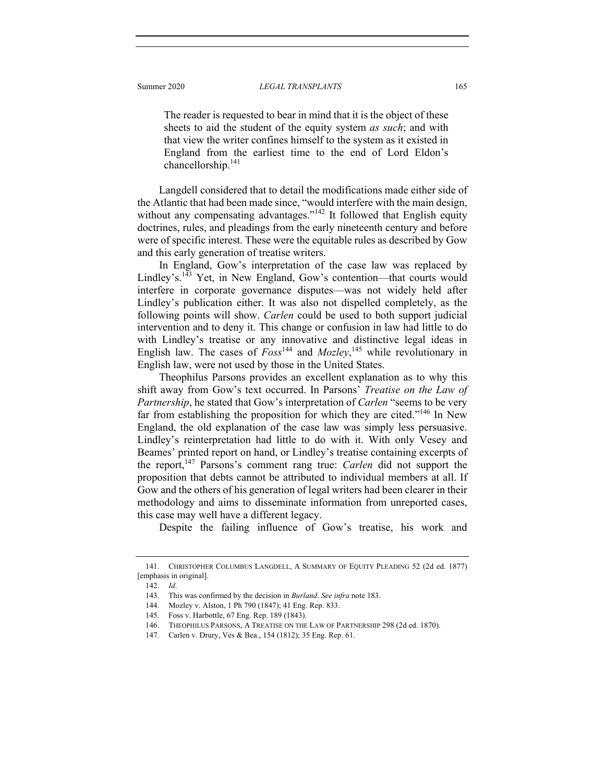The reader is requested to bear in mind that it is the object of these sheets to aid the student of the equity system *as such*; and with that view the writer confines himself to the system as it existed in England from the earliest time to the end of Lord Eldon's chancellorship.141

Langdell considered that to detail the modifications made either side of the Atlantic that had been made since, "would interfere with the main design, without any compensating advantages."<sup>142</sup> It followed that English equity doctrines, rules, and pleadings from the early nineteenth century and before were of specific interest. These were the equitable rules as described by Gow and this early generation of treatise writers.

In England, Gow's interpretation of the case law was replaced by Lindley's.<sup>143</sup> Yet, in New England, Gow's contention—that courts would interfere in corporate governance disputes—was not widely held after Lindley's publication either. It was also not dispelled completely, as the following points will show. *Carlen* could be used to both support judicial intervention and to deny it. This change or confusion in law had little to do with Lindley's treatise or any innovative and distinctive legal ideas in English law. The cases of  $Foss^{144}$  and  $Mozley$ ,<sup>145</sup> while revolutionary in English law, were not used by those in the United States.

Theophilus Parsons provides an excellent explanation as to why this shift away from Gow's text occurred. In Parsons' *Treatise on the Law of Partnership*, he stated that Gow's interpretation of *Carlen* "seems to be very far from establishing the proposition for which they are cited."<sup>146</sup> In New England, the old explanation of the case law was simply less persuasive. Lindley's reinterpretation had little to do with it. With only Vesey and Beames' printed report on hand, or Lindley's treatise containing excerpts of the report,147 Parsons's comment rang true: *Carlen* did not support the proposition that debts cannot be attributed to individual members at all. If Gow and the others of his generation of legal writers had been clearer in their methodology and aims to disseminate information from unreported cases, this case may well have a different legacy.

Despite the failing influence of Gow's treatise, his work and

 <sup>141.</sup> CHRISTOPHER COLUMBUS LANGDELL, A SUMMARY OF EQUITY PLEADING 52 (2d ed. 1877) [emphasis in original].

<sup>142.</sup> *Id*.

 <sup>143.</sup> This was confirmed by the decision in *Burland*. *See infra* note 183.

 <sup>144.</sup> Mozley v. Alston, 1 Ph 790 (1847); 41 Eng. Rep. 833.

 <sup>145.</sup> Foss v. Harbottle, 67 Eng. Rep. 189 (1843).

 <sup>146.</sup> THEOPHILUS PARSONS, A TREATISE ON THE LAW OF PARTNERSHIP 298 (2d ed. 1870).

 <sup>147.</sup> Carlen v. Drury, Ves & Bea., 154 (1812); 35 Eng. Rep. 61.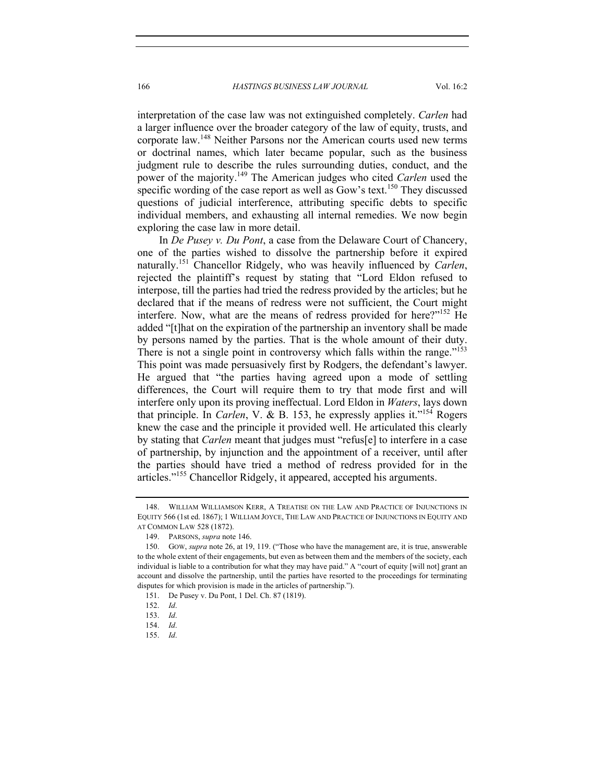interpretation of the case law was not extinguished completely. *Carlen* had a larger influence over the broader category of the law of equity, trusts, and corporate law.148 Neither Parsons nor the American courts used new terms or doctrinal names, which later became popular, such as the business judgment rule to describe the rules surrounding duties, conduct, and the power of the majority.149 The American judges who cited *Carlen* used the specific wording of the case report as well as Gow's text.<sup>150</sup> They discussed questions of judicial interference, attributing specific debts to specific individual members, and exhausting all internal remedies. We now begin exploring the case law in more detail.

In *De Pusey v. Du Pont*, a case from the Delaware Court of Chancery, one of the parties wished to dissolve the partnership before it expired naturally.151 Chancellor Ridgely, who was heavily influenced by *Carlen*, rejected the plaintiff's request by stating that "Lord Eldon refused to interpose, till the parties had tried the redress provided by the articles; but he declared that if the means of redress were not sufficient, the Court might interfere. Now, what are the means of redress provided for here?"<sup>152</sup> He added "[t]hat on the expiration of the partnership an inventory shall be made by persons named by the parties. That is the whole amount of their duty. There is not a single point in controversy which falls within the range."<sup>153</sup> This point was made persuasively first by Rodgers, the defendant's lawyer. He argued that "the parties having agreed upon a mode of settling differences, the Court will require them to try that mode first and will interfere only upon its proving ineffectual. Lord Eldon in *Waters*, lays down that principle. In *Carlen*, V. & B. 153, he expressly applies it."154 Rogers knew the case and the principle it provided well. He articulated this clearly by stating that *Carlen* meant that judges must "refus[e] to interfere in a case of partnership, by injunction and the appointment of a receiver, until after the parties should have tried a method of redress provided for in the articles."155 Chancellor Ridgely, it appeared, accepted his arguments.

155. *Id*.

 <sup>148.</sup> WILLIAM WILLIAMSON KERR, A TREATISE ON THE LAW AND PRACTICE OF INJUNCTIONS IN EQUITY 566 (1st ed. 1867); 1 WILLIAM JOYCE, THE LAW AND PRACTICE OF INJUNCTIONS IN EQUITY AND AT COMMON LAW 528 (1872).

 <sup>149.</sup> PARSONS, *supra* note 146.

 <sup>150.</sup> GOW, *supra* note 26, at 19, 119. ("Those who have the management are, it is true, answerable to the whole extent of their engagements, but even as between them and the members of the society, each individual is liable to a contribution for what they may have paid." A "court of equity [will not] grant an account and dissolve the partnership, until the parties have resorted to the proceedings for terminating disputes for which provision is made in the articles of partnership.").

 <sup>151.</sup> De Pusey v. Du Pont, 1 Del. Ch. 87 (1819).

 <sup>152.</sup> *Id*.

<sup>153.</sup> *Id*.

<sup>154.</sup> *Id*.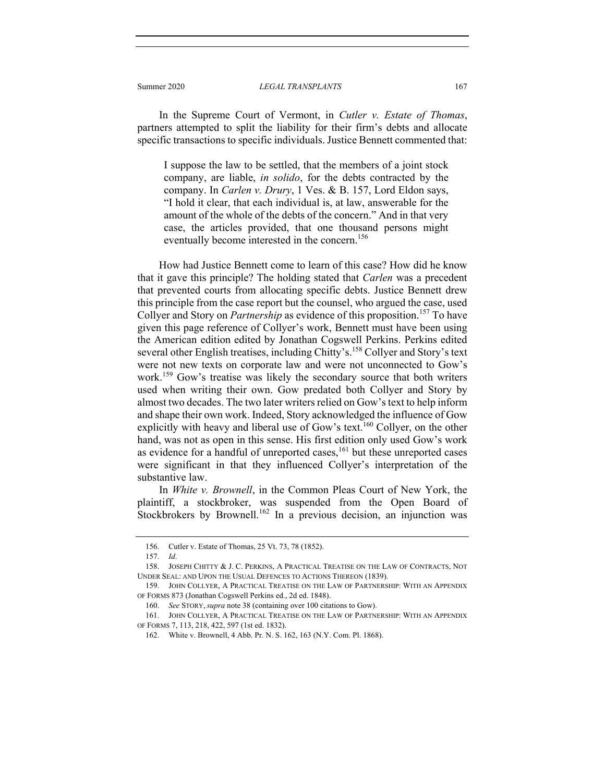#### Summer 2020 *LEGAL TRANSPLANTS* 167

In the Supreme Court of Vermont, in *Cutler v. Estate of Thomas*, partners attempted to split the liability for their firm's debts and allocate specific transactions to specific individuals. Justice Bennett commented that:

I suppose the law to be settled, that the members of a joint stock company, are liable, *in solido*, for the debts contracted by the company. In *Carlen v. Drury*, 1 Ves. & B. 157, Lord Eldon says, "I hold it clear, that each individual is, at law, answerable for the amount of the whole of the debts of the concern." And in that very case, the articles provided, that one thousand persons might eventually become interested in the concern.<sup>156</sup>

How had Justice Bennett come to learn of this case? How did he know that it gave this principle? The holding stated that *Carlen* was a precedent that prevented courts from allocating specific debts. Justice Bennett drew this principle from the case report but the counsel, who argued the case, used Collyer and Story on *Partnership* as evidence of this proposition.<sup>157</sup> To have given this page reference of Collyer's work, Bennett must have been using the American edition edited by Jonathan Cogswell Perkins. Perkins edited several other English treatises, including Chitty's.<sup>158</sup> Collyer and Story's text were not new texts on corporate law and were not unconnected to Gow's work.<sup>159</sup> Gow's treatise was likely the secondary source that both writers used when writing their own. Gow predated both Collyer and Story by almost two decades. The two later writers relied on Gow's text to help inform and shape their own work. Indeed, Story acknowledged the influence of Gow explicitly with heavy and liberal use of Gow's text.<sup>160</sup> Collyer, on the other hand, was not as open in this sense. His first edition only used Gow's work as evidence for a handful of unreported cases, $161$  but these unreported cases were significant in that they influenced Collyer's interpretation of the substantive law.

In *White v. Brownell*, in the Common Pleas Court of New York, the plaintiff, a stockbroker, was suspended from the Open Board of Stockbrokers by Brownell.<sup>162</sup> In a previous decision, an injunction was

 <sup>156.</sup> Cutler v. Estate of Thomas, 25 Vt. 73, 78 (1852).

<sup>157.</sup> *Id*.

 <sup>158.</sup> JOSEPH CHITTY & J. C. PERKINS, A PRACTICAL TREATISE ON THE LAW OF CONTRACTS, NOT UNDER SEAL: AND UPON THE USUAL DEFENCES TO ACTIONS THEREON (1839).

 <sup>159.</sup> JOHN COLLYER, A PRACTICAL TREATISE ON THE LAW OF PARTNERSHIP: WITH AN APPENDIX OF FORMS 873 (Jonathan Cogswell Perkins ed., 2d ed. 1848).

<sup>160.</sup> *See* STORY, *supra* note 38 (containing over 100 citations to Gow).

 <sup>161.</sup> JOHN COLLYER, A PRACTICAL TREATISE ON THE LAW OF PARTNERSHIP: WITH AN APPENDIX OF FORMS 7, 113, 218, 422, 597 (1st ed. 1832).

 <sup>162.</sup> White v. Brownell, 4 Abb. Pr. N. S. 162, 163 (N.Y. Com. Pl. 1868).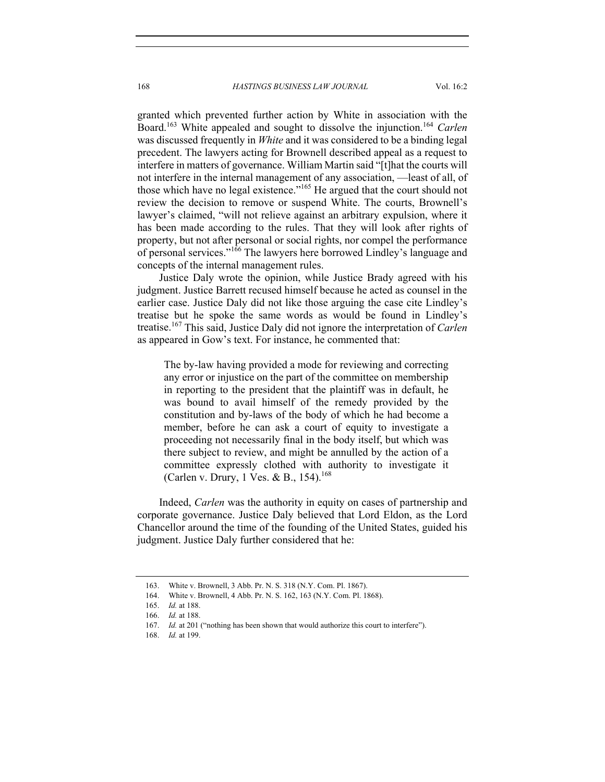granted which prevented further action by White in association with the Board.<sup>163</sup> White appealed and sought to dissolve the injunction.<sup>164</sup> *Carlen* was discussed frequently in *White* and it was considered to be a binding legal precedent. The lawyers acting for Brownell described appeal as a request to interfere in matters of governance. William Martin said "[t]hat the courts will not interfere in the internal management of any association, —least of all, of those which have no legal existence."<sup>165</sup> He argued that the court should not review the decision to remove or suspend White. The courts, Brownell's lawyer's claimed, "will not relieve against an arbitrary expulsion, where it has been made according to the rules. That they will look after rights of property, but not after personal or social rights, nor compel the performance of personal services."<sup>166</sup> The lawyers here borrowed Lindley's language and concepts of the internal management rules.

Justice Daly wrote the opinion, while Justice Brady agreed with his judgment. Justice Barrett recused himself because he acted as counsel in the earlier case. Justice Daly did not like those arguing the case cite Lindley's treatise but he spoke the same words as would be found in Lindley's treatise.167 This said, Justice Daly did not ignore the interpretation of *Carlen* as appeared in Gow's text. For instance, he commented that:

The by-law having provided a mode for reviewing and correcting any error or injustice on the part of the committee on membership in reporting to the president that the plaintiff was in default, he was bound to avail himself of the remedy provided by the constitution and by-laws of the body of which he had become a member, before he can ask a court of equity to investigate a proceeding not necessarily final in the body itself, but which was there subject to review, and might be annulled by the action of a committee expressly clothed with authority to investigate it (Carlen v. Drury, 1 Ves. & B., 154).<sup>168</sup>

Indeed, *Carlen* was the authority in equity on cases of partnership and corporate governance. Justice Daly believed that Lord Eldon, as the Lord Chancellor around the time of the founding of the United States, guided his judgment. Justice Daly further considered that he:

 <sup>163.</sup> White v. Brownell, 3 Abb. Pr. N. S. 318 (N.Y. Com. Pl. 1867).

 <sup>164.</sup> White v. Brownell, 4 Abb. Pr. N. S. 162, 163 (N.Y. Com. Pl. 1868).

<sup>165.</sup> *Id.* at 188.

<sup>166.</sup> *Id.* at 188.

<sup>167.</sup> *Id.* at 201 ("nothing has been shown that would authorize this court to interfere").

<sup>168.</sup> *Id.* at 199.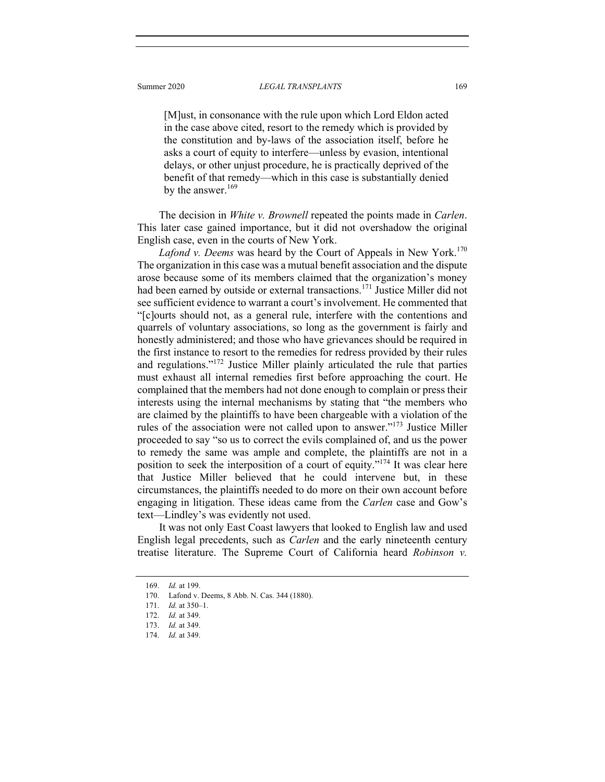#### Summer 2020 *LEGAL TRANSPLANTS* 169

[M]ust, in consonance with the rule upon which Lord Eldon acted in the case above cited, resort to the remedy which is provided by the constitution and by-laws of the association itself, before he asks a court of equity to interfere—unless by evasion, intentional delays, or other unjust procedure, he is practically deprived of the benefit of that remedy—which in this case is substantially denied by the answer.<sup>169</sup>

The decision in *White v. Brownell* repeated the points made in *Carlen*. This later case gained importance, but it did not overshadow the original English case, even in the courts of New York.

*Lafond v. Deems* was heard by the Court of Appeals in New York.<sup>170</sup> The organization in this case was a mutual benefit association and the dispute arose because some of its members claimed that the organization's money had been earned by outside or external transactions.<sup>171</sup> Justice Miller did not see sufficient evidence to warrant a court's involvement. He commented that "[c]ourts should not, as a general rule, interfere with the contentions and quarrels of voluntary associations, so long as the government is fairly and honestly administered; and those who have grievances should be required in the first instance to resort to the remedies for redress provided by their rules and regulations."172 Justice Miller plainly articulated the rule that parties must exhaust all internal remedies first before approaching the court. He complained that the members had not done enough to complain or press their interests using the internal mechanisms by stating that "the members who are claimed by the plaintiffs to have been chargeable with a violation of the rules of the association were not called upon to answer."<sup>173</sup> Justice Miller proceeded to say "so us to correct the evils complained of, and us the power to remedy the same was ample and complete, the plaintiffs are not in a position to seek the interposition of a court of equity."<sup>174</sup> It was clear here that Justice Miller believed that he could intervene but, in these circumstances, the plaintiffs needed to do more on their own account before engaging in litigation. These ideas came from the *Carlen* case and Gow's text—Lindley's was evidently not used.

It was not only East Coast lawyers that looked to English law and used English legal precedents, such as *Carlen* and the early nineteenth century treatise literature. The Supreme Court of California heard *Robinson v.* 

<sup>169.</sup> *Id.* at 199.

 <sup>170.</sup> Lafond v. Deems, 8 Abb. N. Cas. 344 (1880).

<sup>171.</sup> *Id.* at 350–1.

<sup>172.</sup> *Id.* at 349.

<sup>173.</sup> *Id.* at 349.

<sup>174.</sup> *Id.* at 349.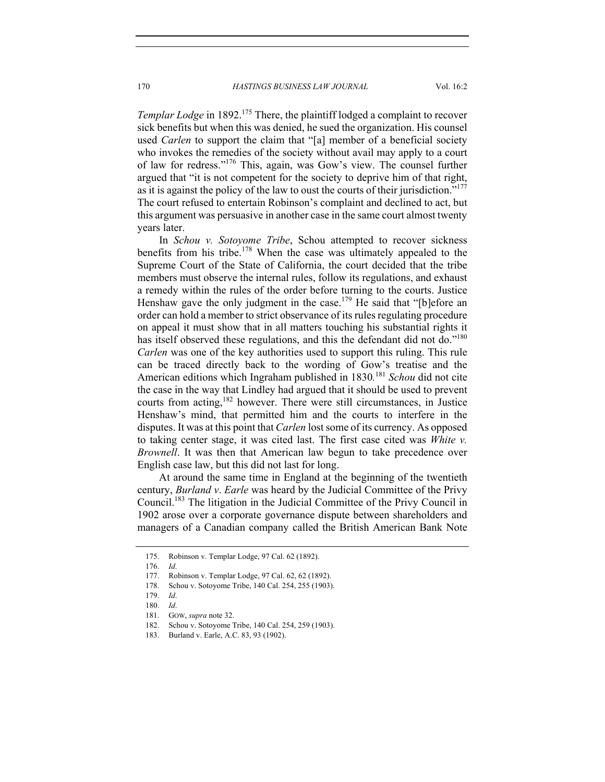*Templar Lodge* in 1892.<sup>175</sup> There, the plaintiff lodged a complaint to recover sick benefits but when this was denied, he sued the organization. His counsel used *Carlen* to support the claim that "[a] member of a beneficial society who invokes the remedies of the society without avail may apply to a court of law for redress."176 This, again, was Gow's view. The counsel further argued that "it is not competent for the society to deprive him of that right, as it is against the policy of the law to oust the courts of their jurisdiction."<sup>177</sup> The court refused to entertain Robinson's complaint and declined to act, but this argument was persuasive in another case in the same court almost twenty years later.

In *Schou v. Sotoyome Tribe*, Schou attempted to recover sickness benefits from his tribe.<sup>178</sup> When the case was ultimately appealed to the Supreme Court of the State of California, the court decided that the tribe members must observe the internal rules, follow its regulations, and exhaust a remedy within the rules of the order before turning to the courts. Justice Henshaw gave the only judgment in the case.<sup>179</sup> He said that "[b]efore an order can hold a member to strict observance of its rules regulating procedure on appeal it must show that in all matters touching his substantial rights it has itself observed these regulations, and this the defendant did not do."<sup>180</sup> *Carlen* was one of the key authorities used to support this ruling. This rule can be traced directly back to the wording of Gow's treatise and the American editions which Ingraham published in 1830*.* <sup>181</sup> *Schou* did not cite the case in the way that Lindley had argued that it should be used to prevent courts from acting,<sup>182</sup> however. There were still circumstances, in Justice Henshaw's mind, that permitted him and the courts to interfere in the disputes. It was at this point that *Carlen* lost some of its currency. As opposed to taking center stage, it was cited last. The first case cited was *White v. Brownell*. It was then that American law begun to take precedence over English case law, but this did not last for long.

At around the same time in England at the beginning of the twentieth century, *Burland v*. *Earle* was heard by the Judicial Committee of the Privy Council.183 The litigation in the Judicial Committee of the Privy Council in 1902 arose over a corporate governance dispute between shareholders and managers of a Canadian company called the British American Bank Note

<sup>175.</sup> Robinson v. Templar Lodge, 97 Cal. 62 (1892).

<sup>176.</sup> *Id*.

<sup>177.</sup> Robinson v. Templar Lodge, 97 Cal. 62, 62 (1892).

 <sup>178.</sup> Schou v. Sotoyome Tribe, 140 Cal. 254, 255 (1903).

<sup>179.</sup> *Id*.

<sup>180.</sup> *Id*.

 <sup>181.</sup> GOW, *supra* note 32.

 <sup>182.</sup> Schou v. Sotoyome Tribe, 140 Cal. 254, 259 (1903).

 <sup>183.</sup> Burland v. Earle, A.C. 83, 93 (1902).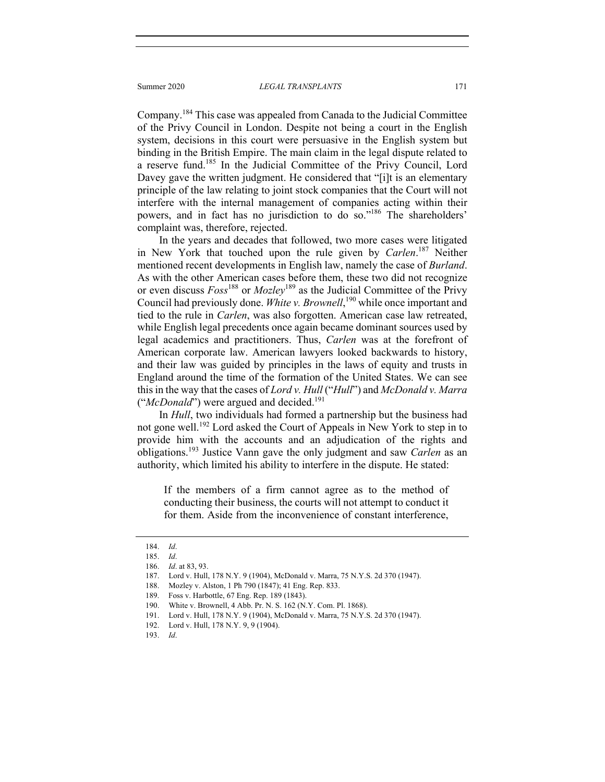Company.184 This case was appealed from Canada to the Judicial Committee of the Privy Council in London. Despite not being a court in the English system, decisions in this court were persuasive in the English system but binding in the British Empire. The main claim in the legal dispute related to a reserve fund.185 In the Judicial Committee of the Privy Council, Lord Davey gave the written judgment. He considered that "[i]t is an elementary principle of the law relating to joint stock companies that the Court will not interfere with the internal management of companies acting within their powers, and in fact has no jurisdiction to do so."<sup>186</sup> The shareholders' complaint was, therefore, rejected.

In the years and decades that followed, two more cases were litigated in New York that touched upon the rule given by *Carlen*. 187 Neither mentioned recent developments in English law, namely the case of *Burland*. As with the other American cases before them, these two did not recognize or even discuss *Foss*188 or *Mozley*189 as the Judicial Committee of the Privy Council had previously done. *White v. Brownell*, 190 while once important and tied to the rule in *Carlen*, was also forgotten. American case law retreated, while English legal precedents once again became dominant sources used by legal academics and practitioners. Thus, *Carlen* was at the forefront of American corporate law. American lawyers looked backwards to history, and their law was guided by principles in the laws of equity and trusts in England around the time of the formation of the United States. We can see this in the way that the cases of *Lord v. Hull* ("*Hull*") and *McDonald v. Marra* ("*McDonald*") were argued and decided.<sup>191</sup>

In *Hull*, two individuals had formed a partnership but the business had not gone well.<sup>192</sup> Lord asked the Court of Appeals in New York to step in to provide him with the accounts and an adjudication of the rights and obligations.193 Justice Vann gave the only judgment and saw *Carlen* as an authority, which limited his ability to interfere in the dispute. He stated:

If the members of a firm cannot agree as to the method of conducting their business, the courts will not attempt to conduct it for them. Aside from the inconvenience of constant interference,

<sup>184.</sup> *Id*.

<sup>185.</sup> *Id*.

<sup>186.</sup> *Id*. at 83, 93.

 <sup>187.</sup> Lord v. Hull, 178 N.Y. 9 (1904), McDonald v. Marra, 75 N.Y.S. 2d 370 (1947).

 <sup>188.</sup> Mozley v. Alston, 1 Ph 790 (1847); 41 Eng. Rep. 833.

 <sup>189.</sup> Foss v. Harbottle, 67 Eng. Rep. 189 (1843).

 <sup>190.</sup> White v. Brownell, 4 Abb. Pr. N. S. 162 (N.Y. Com. Pl. 1868).

 <sup>191.</sup> Lord v. Hull, 178 N.Y. 9 (1904), McDonald v. Marra, 75 N.Y.S. 2d 370 (1947).

 <sup>192.</sup> Lord v. Hull, 178 N.Y. 9, 9 (1904).

<sup>193.</sup> *Id*.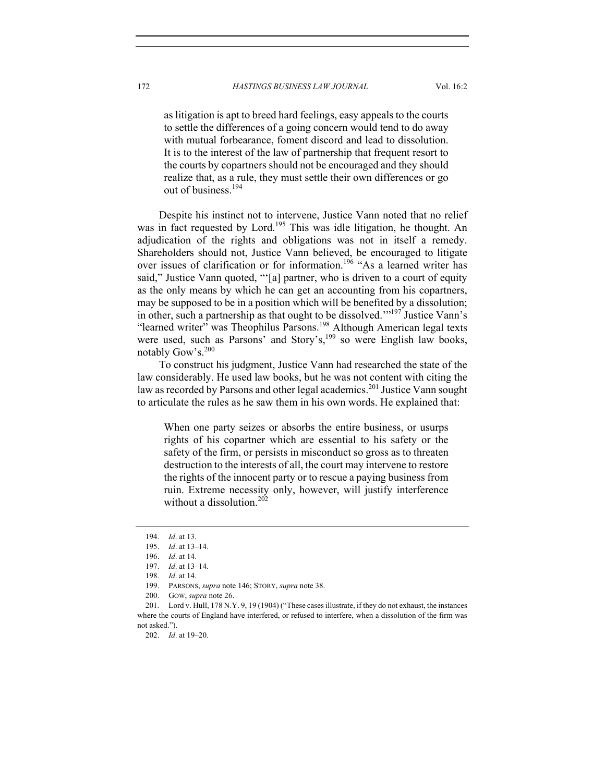as litigation is apt to breed hard feelings, easy appeals to the courts to settle the differences of a going concern would tend to do away with mutual forbearance, foment discord and lead to dissolution. It is to the interest of the law of partnership that frequent resort to the courts by copartners should not be encouraged and they should realize that, as a rule, they must settle their own differences or go out of business.<sup>194</sup>

Despite his instinct not to intervene, Justice Vann noted that no relief was in fact requested by Lord.<sup>195</sup> This was idle litigation, he thought. An adjudication of the rights and obligations was not in itself a remedy. Shareholders should not, Justice Vann believed, be encouraged to litigate over issues of clarification or for information.<sup>196</sup> "As a learned writer has said," Justice Vann quoted, "'[a] partner, who is driven to a court of equity as the only means by which he can get an accounting from his copartners, may be supposed to be in a position which will be benefited by a dissolution; in other, such a partnership as that ought to be dissolved."<sup>197</sup> Justice Vann's "learned writer" was Theophilus Parsons.<sup>198</sup> Although American legal texts were used, such as Parsons' and Story's, $199$  so were English law books, notably Gow's.<sup>200</sup>

To construct his judgment, Justice Vann had researched the state of the law considerably. He used law books, but he was not content with citing the law as recorded by Parsons and other legal academics.<sup>201</sup> Justice Vann sought to articulate the rules as he saw them in his own words. He explained that:

When one party seizes or absorbs the entire business, or usurps rights of his copartner which are essential to his safety or the safety of the firm, or persists in misconduct so gross as to threaten destruction to the interests of all, the court may intervene to restore the rights of the innocent party or to rescue a paying business from ruin. Extreme necessity only, however, will justify interference without a dissolution.<sup>202</sup>

<sup>194.</sup> *Id*. at 13.

<sup>195.</sup> *Id*. at 13–14.

<sup>196.</sup> *Id*. at 14.

<sup>197.</sup> *Id*. at 13–14.

<sup>198.</sup> *Id*. at 14.

 <sup>199.</sup> PARSONS, *supra* note 146; STORY, *supra* note 38.

 <sup>200.</sup> GOW, *supra* note 26.

 <sup>201.</sup> Lord v. Hull, 178 N.Y. 9, 19 (1904) ("These cases illustrate, if they do not exhaust, the instances where the courts of England have interfered, or refused to interfere, when a dissolution of the firm was not asked.").

<sup>202.</sup> *Id*. at 19–20.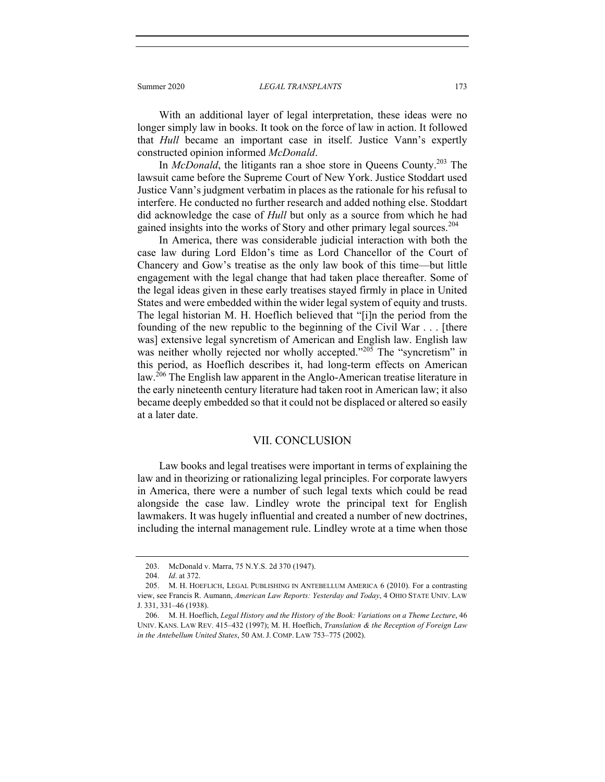Summer 2020 *LEGAL TRANSPLANTS* 173

With an additional layer of legal interpretation, these ideas were no longer simply law in books. It took on the force of law in action. It followed that *Hull* became an important case in itself. Justice Vann's expertly constructed opinion informed *McDonald*.

In *McDonald*, the litigants ran a shoe store in Queens County.<sup>203</sup> The lawsuit came before the Supreme Court of New York. Justice Stoddart used Justice Vann's judgment verbatim in places as the rationale for his refusal to interfere. He conducted no further research and added nothing else. Stoddart did acknowledge the case of *Hull* but only as a source from which he had gained insights into the works of Story and other primary legal sources.<sup>204</sup>

In America, there was considerable judicial interaction with both the case law during Lord Eldon's time as Lord Chancellor of the Court of Chancery and Gow's treatise as the only law book of this time—but little engagement with the legal change that had taken place thereafter. Some of the legal ideas given in these early treatises stayed firmly in place in United States and were embedded within the wider legal system of equity and trusts. The legal historian M. H. Hoeflich believed that "[i]n the period from the founding of the new republic to the beginning of the Civil War . . . [there was] extensive legal syncretism of American and English law. English law was neither wholly rejected nor wholly accepted."<sup>205</sup> The "syncretism" in this period, as Hoeflich describes it, had long-term effects on American law.<sup>206</sup> The English law apparent in the Anglo-American treatise literature in the early nineteenth century literature had taken root in American law; it also became deeply embedded so that it could not be displaced or altered so easily at a later date.

#### VII. CONCLUSION

Law books and legal treatises were important in terms of explaining the law and in theorizing or rationalizing legal principles. For corporate lawyers in America, there were a number of such legal texts which could be read alongside the case law. Lindley wrote the principal text for English lawmakers. It was hugely influential and created a number of new doctrines, including the internal management rule. Lindley wrote at a time when those

 <sup>203.</sup> McDonald v. Marra, 75 N.Y.S. 2d 370 (1947).

<sup>204.</sup> *Id*. at 372.

 <sup>205.</sup> M. H. HOEFLICH, LEGAL PUBLISHING IN ANTEBELLUM AMERICA 6 (2010). For a contrasting view, see Francis R. Aumann, *American Law Reports: Yesterday and Today*, 4 OHIO STATE UNIV. LAW J. 331, 331–46 (1938).

 <sup>206.</sup> M. H. Hoeflich, *Legal History and the History of the Book: Variations on a Theme Lecture*, 46 UNIV. KANS. LAW REV. 415–432 (1997); M. H. Hoeflich, *Translation & the Reception of Foreign Law in the Antebellum United States*, 50 AM. J. COMP. LAW 753–775 (2002).